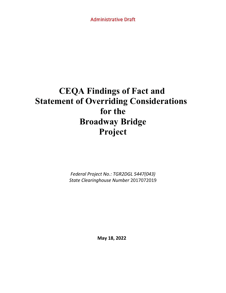Administrative Draft

# **CEQA Findings of Fact and Statement of Overriding Considerations for the Broadway Bridge Project**

*Federal Project No.: TGR2DGL 5447(043) State Clearinghouse Number* 2017072019

**May 18, 2022**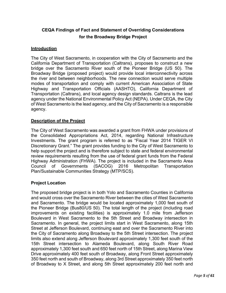# **CEQA Findings of Fact and Statement of Overriding Considerations for the Broadway Bridge Project**

# **Introduction**

The City of West Sacramento, in cooperation with the City of Sacramento and the California Department of Transportation (Caltrans), proposes to construct a new bridge over the Sacramento River south of the Pioneer Bridge (US 50). The Broadway Bridge (proposed project) would provide local interconnectivity across the river and between neighborhoods. The new connection would serve multiple modes of transportation and comply with current American Association of State Highway and Transportation Officials (AASHTO), California Department of Transportation (Caltrans), and local agency design standards. Caltrans is the lead agency under the National Environmental Policy Act (NEPA). Under CEQA, the City of West Sacramento is the lead agency, and the City of Sacramento is a responsible agency.

# **Description of the Project**

The City of West Sacramento was awarded a grant from FHWA under provisions of the Consolidated Appropriations Act, 2014, regarding National Infrastructure Investments. The grant program is referred to as "Fiscal Year 2014 TIGER VI Discretionary Grant." The grant provides funding to the City of West Sacramento to help support the project and is therefore subject to state and federal environmental review requirements resulting from the use of federal grant funds from the Federal Highway Administration (FHWA). The project is included in the Sacramento Area Council of Governments (SACOG) 2016 Metropolitan Transportation Plan/Sustainable Communities Strategy (MTP/SCS).

# **Project Location**

The proposed bridge project is in both Yolo and Sacramento Counties in California and would cross over the Sacramento River between the cities of West Sacramento and Sacramento. The bridge would be located approximately 1,000 feet south of the Pioneer Bridge (Bus80/US 50). The total length of the project (including road improvements on existing facilities) is approximately 1.0 mile from Jefferson Boulevard in West Sacramento to the 5th Street and Broadway intersection in Sacramento. In general, the project limits start in West Sacramento, along 15th Street at Jefferson Boulevard, continuing east and over the Sacramento River into the City of Sacramento along Broadway to the 5th Street intersection. The project limits also extend along Jefferson Boulevard approximately 1,300 feet south of the 15th Street intersection to Alameda Boulevard, along South River Road approximately 1,300 feet south and 650 feet north of 15th Street, along Marina View Drive approximately 400 feet south of Broadway, along Front Street approximately 350 feet north and south of Broadway, along 3rd Street approximately 350 feet north of Broadway to X Street, and along 5th Street approximately 200 feet north and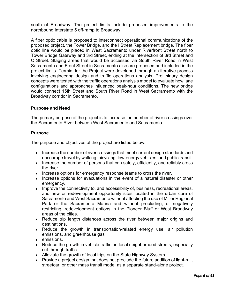south of Broadway. The project limits include proposed improvements to the northbound Interstate 5 off-ramp to Broadway.

A fiber optic cable is proposed to interconnect operational communications of the proposed project, the Tower Bridge, and the I Street Replacement bridge. The fiber optic line would be placed in West Sacramento under Riverfront Street north to Tower Bridge Gateway and 3rd Street, ending at the intersection of 3rd Street and C Street. Staging areas that would be accessed via South River Road in West Sacramento and Front Street in Sacramento also are proposed and included in the project limits. Termini for the Project were developed through an iterative process involving engineering design and traffic operations analysis. Preliminary design concepts were tested with the traffic operations analysis model to evaluate how lane configurations and approaches influenced peak-hour conditions. The new bridge would connect 15th Street and South River Road in West Sacramento with the Broadway corridor in Sacramento.

#### **Purpose and Need**

The primary purpose of the project is to increase the number of river crossings over the Sacramento River between West Sacramento and Sacramento.

#### **Purpose**

The purpose and objectives of the project are listed below.

- Increase the number of river crossings that meet current design standards and encourage travel by walking, bicycling, low-energy vehicles, and public transit.
- Increase the number of persons that can safely, efficiently, and reliably cross the river.
- Increase options for emergency response teams to cross the river.
- Increase options for evacuations in the event of a natural disaster or other emergency.
- Improve the connectivity to, and accessibility of, business, recreational areas, and new or redevelopment opportunity sites located in the urban core of Sacramento and West Sacramento without affecting the use of Miller Regional Park or the Sacramento Marina and without precluding, or negatively restricting, redevelopment options in the Pioneer Bluff or West Broadway areas of the cities.
- Reduce trip length distances across the river between major origins and destinations.
- Reduce the growth in transportation-related energy use, air pollution emissions, and greenhouse gas
- emissions.
- Reduce the growth in vehicle traffic on local neighborhood streets, especially cut-through traffic.
- Alleviate the growth of local trips on the State Highway System.
- Provide a project design that does not preclude the future addition of light-rail, streetcar, or other mass transit mode, as a separate stand-alone project.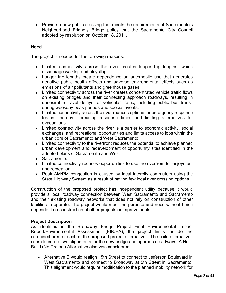• Provide a new public crossing that meets the requirements of Sacramento's Neighborhood Friendly Bridge policy that the Sacramento City Council adopted by resolution on October 18, 2011.

#### **Need**

The project is needed for the following reasons:

- Limited connectivity across the river creates longer trip lengths, which discourage walking and bicycling.
- Longer trip lengths create dependence on automobile use that generates negative public health effects and adverse environmental effects such as emissions of air pollutants and greenhouse gases.
- Limited connectivity across the river creates concentrated vehicle traffic flows on existing bridges and their connecting approach roadways, resulting in undesirable travel delays for vehicular traffic, including public bus transit during weekday peak periods and special events.
- Limited connectivity across the river reduces options for emergency response teams, thereby increasing response times and limiting alternatives for evacuations.
- Limited connectivity across the river is a barrier to economic activity, social exchanges, and recreational opportunities and limits access to jobs within the urban core of Sacramento and West Sacramento.
- Limited connectivity to the riverfront reduces the potential to achieve planned urban development and redevelopment of opportunity sites identified in the adopted plans of Sacramento and West
- Sacramento.
- Limited connectivity reduces opportunities to use the riverfront for enjoyment and recreation.
- Peak AM/PM congestion is caused by local intercity commuters using the State Highway System as a result of having few local river crossing options.

Construction of the proposed project has independent utility because it would provide a local roadway connection between West Sacramento and Sacramento and their existing roadway networks that does not rely on construction of other facilities to operate. The project would meet the purpose and need without being dependent on construction of other projects or improvements.

# **Project Description**

As identified in the Broadway Bridge Project Final Environmental Impact Report/Environmental Assessment (EIR/EA), the project limits include the combined area of each of the proposed project alternatives. The build alternatives considered are two alignments for the new bridge and approach roadways. A No Build (No-Project) Alternative also was considered.

 Alternative B would realign 15th Street to connect to Jefferson Boulevard in West Sacramento and connect to Broadway at 5th Street in Sacramento. This alignment would require modification to the planned mobility network for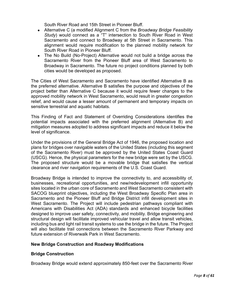South River Road and 15th Street in Pioneer Bluff.

- Alternative C (a modified Alignment C from the *Broadway Bridge Feasibility Study*) would connect as a "T" intersection to South River Road in West Sacramento and connect to Broadway at 5th Street in Sacramento. This alignment would require modification to the planned mobility network for South River Road in Pioneer Bluff.
- The No Build (No-Project) Alternative would not build a bridge across the Sacramento River from the Pioneer Bluff area of West Sacramento to Broadway in Sacramento. The future no project conditions planned by both cities would be developed as proposed.

The Cities of West Sacramento and Sacramento have identified Alternative B as the preferred alternative. Alternative B satisfies the purpose and objectives of the project better than Alternative C because it would require fewer changes to the approved mobility network in West Sacramento, would result in greater congestion relief, and would cause a lesser amount of permanent and temporary impacts on sensitive terrestrial and aquatic habitats.

This Finding of Fact and Statement of Overriding Considerations identifies the potential impacts associated with the preferred alignment (Alternative B) and mitigation measures adopted to address significant impacts and reduce it below the level of significance.

Under the provisions of the General Bridge Act of 1946, the proposed location and plans for bridges over navigable waters of the United States (including this segment of the Sacramento River) must be approved by the United States Coast Guard (USCG). Hence, the physical parameters for the new bridge were set by the USCG. The proposed structure would be a movable bridge that satisfies the vertical clearance and river navigation requirements of the U.S. Coast Guard.

Broadway Bridge is intended to improve the connectivity to, and accessibility of, businesses, recreational opportunities, and new/redevelopment infill opportunity sites located in the urban core of Sacramento and West Sacramento consistent with SACOG blueprint objectives, including the West Broadway Specific Plan area in Sacramento and the Pioneer Bluff and Bridge District infill development sites in West Sacramento. The Project will include pedestrian pathways compliant with Americans with Disabilities Act (ADA) standards and enhanced bicycle facilities designed to improve user safety, connectivity, and mobility. Bridge engineering and structural design will facilitate improved vehicular travel and allow transit vehicles, including bus and light rail transit systems to use the bridge in the future. The Project will also facilitate trail connections between the Sacramento River Parkway and future extension of Riverwalk Park in West Sacramento.

#### **New Bridge Construction and Roadway Modifications**

#### **Bridge Construction**

Broadway Bridge would extend approximately 850-feet over the Sacramento River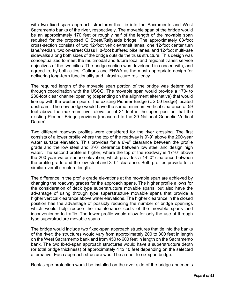with two fixed-span approach structures that tie into the Sacramento and West Sacramento banks of the river, respectively. The movable span of the bridge would be an approximately 170 feet or roughly half of the length of the movable span required for the proposed C Street/Railyards bridge. The approximately 83-foot cross-section consists of two 12-foot vehicle/transit lanes, one 12-foot center turn lane/median, two on-street Class II 8-foot buffered bike lanes, and 12-foot multi-use sidewalks along both sides of the bridge outside the truss structure. This design was conceptualized to meet the multimodal and future local and regional transit service objectives of the two cities. The bridge section was developed in concert with, and agreed to, by both cities, Caltrans and FHWA as the most appropriate design for delivering long-term functionality and infrastructure resiliency.

The required length of the movable span portion of the bridge was determined through coordination with the USCG. The movable span would provide a 170- to 230-foot clear channel opening (depending on the alignment alternative) that would line up with the western pier of the existing Pioneer Bridge (US 50 bridge) located upstream. The new bridge would have the same minimum vertical clearance of 59 feet above the maximum river elevation of 31 feet in the open position that the existing Pioneer Bridge provides (measured to the 29 National Geodetic Vertical Datum).

Two different roadway profiles were considered for the river crossing. The first consists of a lower profile where the top of the roadway is 9'-9" above the 200-year water surface elevation. This provides for a 6'-9" clearance between the profile grade and the low steel and 3'-0" clearance between low steel and design high water. The second profile is higher, where the top of the roadway is 17'-0" above the 200-year water surface elevation, which provides a 14'-0" clearance between the profile grade and the low steel and 3'-0" clearance. Both profiles provide for a similar overall structure length.

The difference in the profile grade elevations at the movable span are achieved by changing the roadway grades for the approach spans. The higher profile allows for the consideration of deck type superstructure movable spans, but also have the advantage of using through type superstructure movable spans that provide a higher vertical clearance above water elevations. The higher clearance in the closed position has the advantage of possibly reducing the number of bridge openings which would help reduce the maintenance costs of the movable spans and inconvenience to traffic. The lower profile would allow for only the use of through type superstructure movable spans.

The bridge would include two fixed-span approach structures that tie into the banks of the river; the structures would vary from approximately 200 to 300 feet in length on the West Sacramento bank and from 450 to 600 feet in length on the Sacramento bank. The two fixed-span approach structures would have a superstructure depth (or total bridge thickness) of approximately 4 to 10 feet depending on the selected alternative. Each approach structure would be a one- to six-span bridge.

Rock slope protection would be installed on the river side of the bridge abutments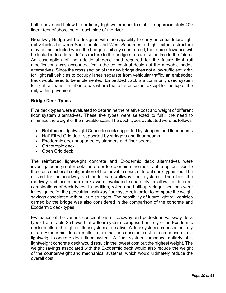both above and below the ordinary high-water mark to stabilize approximately 400 linear feet of shoreline on each side of the river.

Broadway Bridge will be designed with the capability to carry potential future light rail vehicles between Sacramento and West Sacramento. Light rail infrastructure may not be included when the bridge is initially constructed, therefore allowance will be included to add rail infrastructure to the bridge structure sometime in the future. An assumption of the additional dead load required for the future light rail modifications was accounted for in the conceptual design of the movable bridge alternatives. Since the cross section of the new bridge does not allow sufficient width for light rail vehicles to occupy lanes separate from vehicular traffic, an embedded track would need to be implemented. Embedded track is a commonly used system for light rail transit in urban areas where the rail is encased, except for the top of the rail, within pavement.

# **Bridge Deck Types**

Five deck types were evaluated to determine the relative cost and weight of different floor system alternatives. These five types were selected to fulfill the need to minimize the weight of the movable span. The deck types evaluated were as follows:

- Reinforced Lightweight Concrete deck supported by stringers and floor beams
- Half Filled Grid deck supported by stringers and floor beams
- Exodermic deck supported by stringers and floor beams
- Orthotropic deck
- Open Grid deck

The reinforced lightweight concrete and Exodermic deck alternatives were investigated in greater detail in order to determine the most viable option. Due to the cross-sectional configuration of the movable span, different deck types could be utilized for the roadway and pedestrian walkway floor systems. Therefore, the roadway and pedestrian decks were evaluated separately to allow for different combinations of deck types. In addition, rolled and built-up stringer sections were investigated for the pedestrian walkway floor system, in order to compare the weight savings associated with built-up stringers. The possibility of future light rail vehicles carried by the bridge was also considered in the comparison of the concrete and Exodermic deck types.

Evaluation of the various combinations of roadway and pedestrian walkway deck types from Table 2 shows that a floor system comprised entirely of an Exodermic deck results in the lightest floor system alternative. A floor system comprised entirely of an Exodermic deck results in a small increase in cost in comparison to a lightweight concrete deck floor system. A floor system comprised entirely of a lightweight concrete deck would result in the lowest cost but the highest weight. The weight savings associated with the Exodermic deck would also reduce the weight of the counterweight and mechanical systems, which would ultimately reduce the overall cost.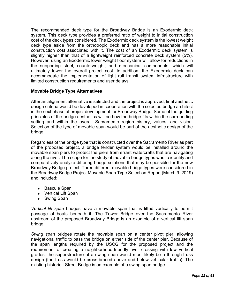The recommended deck type for the Broadway Bridge is an Exodermic deck system. This deck type provides a preferred ratio of weight to initial construction cost of the deck types considered. The Exodermic deck system is the lowest weight deck type aside from the orthotropic deck and has a more reasonable initial construction cost associated with it. The cost of an Exodermic deck system is slightly higher than that of a lightweight reinforced concrete deck system (5%). However, using an Exodermic lower weight floor system will allow for reductions in the supporting steel, counterweight, and mechanical components, which will ultimately lower the overall project cost. In addition, the Exodermic deck can accommodate the implementation of light rail transit system infrastructure with limited construction requirements and user delays.

#### **Movable Bridge Type Alternatives**

After an alignment alternative is selected and the project is approved, final aesthetic design criteria would be developed in cooperation with the selected bridge architect in the next phase of project development for Broadway Bridge. Some of the guiding principles of the bridge aesthetics will be how the bridge fits within the surrounding setting and within the overall Sacramento region history, values, and vision. Selection of the type of movable span would be part of the aesthetic design of the bridge.

Regardless of the bridge type that is constructed over the Sacramento River as part of the proposed project, a bridge fender system would be installed around the movable span piers to protect the piers from errant watercrafts that are navigating along the river. The scope for the study of movable bridge types was to identify and comparatively analyze differing bridge solutions that may be possible for the new Broadway Bridge project. Three different movable bridge types were considered in the Broadway Bridge Project Movable Span Type Selection Report (March 9, 2019) and included:

- Bascule Span
- Vertical Lift Span
- Swing Span

*Vertical lift span* bridges have a movable span that is lifted vertically to permit passage of boats beneath it. The Tower Bridge over the Sacramento River upstream of the proposed Broadway Bridge is an example of a vertical lift span bridge.

*Swing span* bridges rotate the movable span on a center pivot pier, allowing navigational traffic to pass the bridge on either side of the center pier. Because of the span lengths required by the USCG for the proposed project and the requirement of creating a neighborhood-friendly river crossing with low vertical grades, the superstructure of a swing span would most likely be a through-truss design (the truss would be cross-braced above and below vehicular traffic). The existing historic I Street Bridge is an example of a swing span bridge.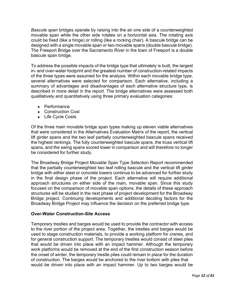*Bascule span* bridges operate by raising into the air one side of a counterweighted movable span while the other side rotates on a horizontal axis. The rotating axis could be fixed (like a hinge) or rolling (like a rocking chair). A bascule bridge can be designed with a single movable span or two movable spans (double bascule bridge). The Freeport Bridge over the Sacramento River in the town of Freeport is a double bascule span bridge.

To address the possible impacts of the bridge type that ultimately is built, the largest in- and over-water footprint and the greatest number of construction-related impacts of the three types were assumed for the analysis. Within each movable bridge type, several alternatives were selected for comparison. Each alternative, including a summary of advantages and disadvantages of each alternative structure type, is described in more detail in the report. The bridge alternatives were assessed both qualitatively and quantitatively using three primary evaluation categories:

- Performance
- Construction Cost
- Life Cycle Costs

Of the three main movable bridge span types making up eleven viable alternatives that were considered in the Alternatives Evaluation Matrix of the report, the vertical lift girder spans and the two leaf partially counterweighted bascule spans received the highest rankings. The fully counterweighted bascule spans, the truss vertical lift spans, and the swing spans scored lower in comparison and will therefore no longer be considered for further study.

The Broadway Bridge Project Movable Span Type Selection Report recommended that the partially counterweighted two leaf rolling bascule and the vertical lift girder bridge with either steel or concrete towers continue to be advanced for further study in the final design phase of the project. Each alternative will require additional approach structures on either side of the main, movable span. Since this study focused on the comparison of movable span options, the details of these approach structures will be studied in the next phase of project development for the Broadway Bridge project. Continuing developments and additional deciding factors for the Broadway Bridge Project may influence the decision on the preferred bridge type.

#### **Over-Water Construction-Site Access**

Temporary trestles and barges would be used to provide the contractor with access to the river portion of the project area. Together, the trestles and barges would be used to stage construction materials, to provide a working platform for cranes, and for general construction support. The temporary trestles would consist of steel piles that would be driven into place with an impact hammer. Although the temporary work platforms would be removed at the end of the first construction season before the onset of winter, the temporary trestle piles could remain in place for the duration of construction. The barges would be anchored to the river bottom with piles that would be driven into place with an impact hammer. Up to two barges would be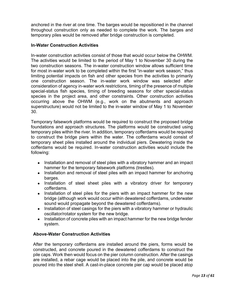anchored in the river at one time. The barges would be repositioned in the channel throughout construction only as needed to complete the work. The barges and temporary piles would be removed after bridge construction is completed.

#### **In-Water Construction Activities**

In-water construction activities consist of those that would occur below the OHWM. The activities would be limited to the period of May 1 to November 30 during the two construction seasons. The in-water construction window allows sufficient time for most in-water work to be completed within the first "in-water work season," thus limiting potential impacts on fish and other species from the activities to primarily one construction season. The in-water work window was selected after consideration of agency in-water work restrictions, timing of the presence of multiple special-status fish species, timing of breeding seasons for other special-status species in the project area, and other constraints. Other construction activities occurring above the OHWM (e.g., work on the abutments and approach superstructure) would not be limited to the in-water window of May 1 to November 30.

Temporary falsework platforms would be required to construct the proposed bridge foundations and approach structures. The platforms would be constructed using temporary piles within the river. In addition, temporary cofferdams would be required to construct the bridge piers within the water. The cofferdams would consist of temporary sheet piles installed around the individual piers. Dewatering inside the cofferdams would be required. In-water construction activities would include the following:

- Installation and removal of steel piles with a vibratory hammer and an impact hammer for the temporary falsework platforms (trestles).
- Installation and removal of steel piles with an impact hammer for anchoring barges.
- Installation of steel sheet piles with a vibratory driver for temporary cofferdams.
- Installation of steel piles for the piers with an impact hammer for the new bridge (although work would occur within dewatered cofferdams, underwater sound would propagate beyond the dewatered cofferdams).
- Installation of steel casings for the piers with a vibratory hammer or hydraulic oscillator/rotator system for the new bridge.
- Installation of concrete piles with an impact hammer for the new bridge fender system.

#### **Above-Water Construction Activities**

After the temporary cofferdams are installed around the piers, forms would be constructed, and concrete poured in the dewatered cofferdams to construct the pile caps. Work then would focus on the pier column construction. After the casings are installed, a rebar cage would be placed into the pile, and concrete would be poured into the steel shell. A cast-in-place concrete pier cap would be placed atop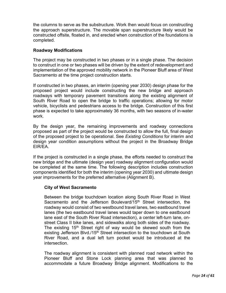the columns to serve as the substructure. Work then would focus on constructing the approach superstructure. The movable span superstructure likely would be constructed offsite, floated in, and erected when construction of the foundations is completed.

# **Roadway Modifications**

The project may be constructed in two phases or in a single phase. The decision to construct in one or two phases will be driven by the extent of redevelopment and implementation of the approved mobility network in the Pioneer Bluff area of West Sacramento at the time project construction starts.

If constructed in two phases, an interim (opening year 2030) design phase for the proposed project would include constructing the new bridge and approach roadways with temporary pavement transitions along the existing alignment of South River Road to open the bridge to traffic operations; allowing for motor vehicle, bicyclists and pedestrians access to the bridge. Construction of this first phase is expected to take approximately 36 months, with two seasons of in-water work.

By the design year, the remaining improvements and roadway connections proposed as part of the project would be constructed to allow the full, final design of the proposed project to be operational. See *Existing Conditions* for interim and design year condition assumptions without the project in the Broadway Bridge EIR/EA.

If the project is constructed in a single phase, the efforts needed to construct the new bridge and the ultimate (design year) roadway alignment configuration would be completed at the same time. The following description includes construction components identified for both the interim (opening year 2030) and ultimate design year improvements for the preferred alternative (Alignment B).

#### **City of West Sacramento**

Between the bridge touchdown location along South River Road in West Sacramento and the Jefferson Boulevard/15<sup>th</sup> Street intersection, the roadway would consist of two westbound travel lanes, two eastbound travel lanes (the two eastbound travel lanes would taper down to one eastbound lane east of the South River Road intersection), a center left-turn lane, onstreet Class II bike lanes, and sidewalks along both sides of the roadway. The existing 15<sup>th</sup> Street right of way would be skewed south from the existing Jefferson Blvd./15<sup>th</sup> Street intersection to the touchdown at South River Road, and a dual left turn pocket would be introduced at the intersection.

The roadway alignment is consistent with planned road network within the Pioneer Bluff and Stone Lock planning area that was planned to accommodate a future Broadway Bridge alignment. Modifications to the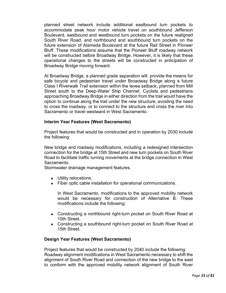planned street network include additional eastbound turn pockets to accommodate peak hour motor vehicle travel on southbound Jefferson Boulevard, eastbound and westbound turn pockets on the future realigned South River Road, and northbound and southbound turn pockets on the future extension of Alameda Boulevard at the future Rail Street in Pioneer Bluff. These modifications assume that the Pioneer Bluff roadway network will be constructed before Broadway Bridge. However, it is likely that these operational changes to the streets will be constructed in anticipation of Broadway Bridge moving forward.

At Broadway Bridge, a planned grade separation will provide the means for safe bicycle and pedestrian travel under Broadway Bridge along a future Class I Riverwalk Trail extension within the levee setback, planned from Mill Street south to the Deep-Water Ship Channel. Cyclists and pedestrians approaching Broadway Bridge in either direction from the trail would have the option to continue along the trail under the new structure, avoiding the need to cross the roadway, or to connect to the structure and cross the river into Sacramento or travel westward in West Sacramento.

#### **Interim Year Features (West Sacramento)**

Project features that would be constructed and in operation by 2030 include the following:

New bridge and roadway modifications, including a redesigned intersection connection for the bridge at 15th Street and new turn pockets on South River Road to facilitate traffic turning movements at the bridge connection in West Sacramento.

Stormwater drainage management features.

- Utility relocations.
- Fiber optic cable installation for operational communications.

In West Sacramento, modifications to the approved mobility network would be necessary for construction of Alternative B. These modifications include the following:

- Constructing a northbound right-turn pocket on South River Road at 15th Street.
- Constructing a southbound right-turn pocket on South River Road at 15th Street.

#### **Design Year Features (West Sacramento)**

Project features that would be constructed by 2040 include the following: Roadway alignment modifications in West Sacramento necessary to shift the alignment of South River Road and connection of the new bridge to the east to conform with the approved mobility network alignment of South River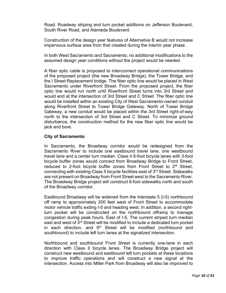Road. Roadway striping and turn pocket additions on Jefferson Boulevard, South River Road, and Alameda Boulevard.

Construction of the design year features of Alternative B would not increase impervious surface area from that created during the interim year phase.

In both West Sacramento and Sacramento, no additional modifications to the assumed design year conditions without the project would be needed.

A fiber optic cable is proposed to interconnect operational communications of the proposed project (the new Broadway Bridge), the Tower Bridge, and the I Street Replacement bridge. The fiber optic line would be placed in West Sacramento under Riverfront Street. From the proposed project, the fiber optic line would run north until Riverfront Street turns into 3rd Street and would end at the intersection of 3rd Street and C Street. The fiber optic line would be installed within an existing City of West Sacramento-owned conduit along Riverfront Street to Tower Bridge Gateway. North of Tower Bridge Gateway, a new conduit would be placed within the 3rd Street right-of-way north to the intersection of 3rd Street and C Street. To minimize ground disturbance, the construction method for the new fiber optic line would be jack and bore.

#### **City of Sacramento**

In Sacramento, the Broadway corridor would be redesigned from the Sacramento River to include one eastbound travel lane, one westbound travel lane and a center turn median. Class II 6-foot bicycle lanes with 3-foot bicycle buffer zones would connect from Broadway Bridge to Front Street, reduced to 2-foot bicycle buffer zones from Front Street to 3<sup>rd</sup> Street, connecting with existing Class II bicycle facilities east of  $3<sup>rd</sup>$  Street. Sidewalks are not present on Broadway from Front Street west to the Sacramento River. The Broadway Bridge project will construct 6-foot sidewalks north and south of the Broadway corridor.

Eastbound Broadway will be widened from the Interstate 5 (I-5) northbound off ramp to approximately 200 feet west of Front Street to accommodate motor vehicle traffic exiting I-5 and heading west. In addition, a second rightturn pocket will be constructed on the northbound offramp to manage congestion during peak hours. East of I-5, The current striped turn median east and west of 3<sup>rd</sup> Street will be modified to include a dedicated turn pocket in each direction, and  $5<sup>th</sup>$  Street will be modified (northbound and southbound) to include left turn lanes at the signalized intersection.

Northbound and southbound Front Street is currently one-lane in each direction with Class II bicycle lanes. The Broadway Bridge project will construct new westbound and eastbound left turn pockets at these locations to improve traffic operations and will construct a new signal at the intersection. Access into Miller Park from Broadway will also be improved to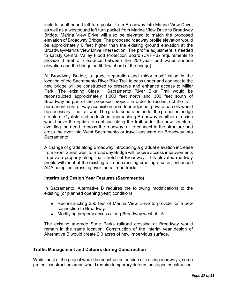include southbound left turn pocket from Broadway into Marina View Drive, as well as a westbound left turn pocket from Marina View Drive to Broadway Bridge. Marina View Drive will also be elevated to match the proposed elevation of Broadway Bridge. The proposed roadway profile elevation would be approximately 6 feet higher than the existing ground elevation at the Broadway/Marina View Drive intersection. The profile adjustment is needed to satisfy Central Valley Flood Protection Board (CVFPB) requirements to provide 3 feet of clearance between the 200-year-flood water surface elevation and the bridge soffit (low chord of the bridge).

At Broadway Bridge, a grade separation and minor modification in the location of the Sacramento River Bike Trail to pass under and connect to the new bridge will be constructed to preserve and enhance access to Miller Park. The existing Class I Sacramento River Bike Trail would be reconstructed approximately 1,000 feet north and 300 feet south of Broadway as part of the proposed project. In order to reconstruct the trail, permanent right-of-way acquisition from four adjacent private parcels would be necessary. The trail would be grade-separated under the proposed bridge structure. Cyclists and pedestrian approaching Broadway in either direction would have the option to continue along the trail under the new structure, avoiding the need to cross the roadway, or to connect to the structure and cross the river into West Sacramento or travel eastward on Broadway into Sacramento.

A change of grade along Broadway introducing a gradual elevation increase from Front Street west to Broadway Bridge will require access improvements to private property along that stretch of Broadway. This elevated roadway profile will meet at the existing railroad crossing creating a safer, enhanced ADA compliant crossing over the railroad tracks.

#### **Interim and Design Year Features (Sacramento)**

In Sacramento, Alternative B requires the following modifications to the existing (or planned opening year) conditions.

- Reconstructing 350 feet of Marina View Drive to provide for a new connection to Broadway.
- Modifying property access along Broadway west of I-5.

The existing at-grade State Parks railroad crossing at Broadway would remain in the same location. Construction of the interim year design of Alternative B would create 2.0 acres of new impervious surface.

#### **Traffic Management and Detours during Construction**

While most of the project would be constructed outside of existing roadways, some project construction areas would require temporary detours or staged construction.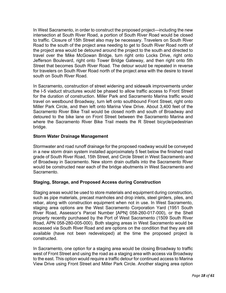In West Sacramento, in order to construct the proposed project—including the new intersection at South River Road, a portion of South River Road would be closed to traffic. Closure of 15th Street also may be necessary. Travelers on South River Road to the south of the project area needing to get to South River Road north of the project area would be detoured around the project to the south and directed to travel over the Mike McGowan Bridge, turn right onto Locks Drive, right onto Jefferson Boulevard, right onto Tower Bridge Gateway, and then right onto 5th Street that becomes South River Road. The detour would be repeated in reverse for travelers on South River Road north of the project area with the desire to travel south on South River Road.

In Sacramento, construction of street widening and sidewalk improvements under the I-5 viaduct structures would be phased to allow traffic access to Front Street for the duration of construction. Miller Park and Sacramento Marina traffic would travel on westbound Broadway, turn left onto southbound Front Street, right onto Miller Park Circle, and then left onto Marina View Drive. About 3,400 feet of the Sacramento River Bike Trail would be closed north and south of Broadway and detoured to the bike lane on Front Street between the Sacramento Marina and where the Sacramento River Bike Trail meets the R Street bicycle/pedestrian bridge.

#### **Storm Water Drainage Management**

Stormwater and road runoff drainage for the proposed roadway would be conveyed in a new storm drain system installed approximately 5 feet below the finished road grade of South River Road, 15th Street, and Circle Street in West Sacramento and of Broadway in Sacramento. New storm drain outfalls into the Sacramento River would be constructed near each of the bridge abutments in West Sacramento and Sacramento.

#### **Staging, Storage, and Proposed Access during Construction**

Staging areas would be used to store materials and equipment during construction, such as pipe materials, precast manholes and drop inlets, steel girders, piles, and rebar, along with construction equipment when not in use. In West Sacramento, staging area options are the West Sacramento Corporation Yard (1951 South River Road, Assessor's Parcel Number [APN] 058-260-017-000), or the Shell property recently purchased by the Port of West Sacramento (1509 South River Road, APN 058-280-005-000). Both staging areas in West Sacramento would be accessed via South River Road and are options on the condition that they are still available (have not been redeveloped) at the time the proposed project is constructed.

In Sacramento, one option for a staging area would be closing Broadway to traffic west of Front Street and using the road as a staging area with access via Broadway to the east. This option would require a traffic detour for continued access to Marina View Drive using Front Street and Miller Park Circle. Another staging area option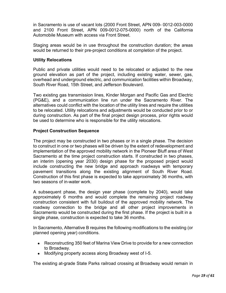in Sacramento is use of vacant lots (2000 Front Street, APN 009- 0012-003-0000 and 2100 Front Street, APN 009-0012-075-0000) north of the California Automobile Museum with access via Front Street.

Staging areas would be in use throughout the construction duration; the areas would be returned to their pre-project conditions at completion of the project.

# **Utility Relocations**

Public and private utilities would need to be relocated or adjusted to the new ground elevation as part of the project, including existing water, sewer, gas, overhead and underground electric, and communication facilities within Broadway, South River Road, 15th Street, and Jefferson Boulevard.

Two existing gas transmission lines, Kinder Morgan and Pacific Gas and Electric (PG&E), and a communication line run under the Sacramento River. The alternatives could conflict with the location of the utility lines and require the utilities to be relocated. Utility relocations and adjustments would be conducted prior to or during construction. As part of the final project design process, prior rights would be used to determine who is responsible for the utility relocations.

# **Project Construction Sequence**

The project may be constructed in two phases or in a single phase. The decision to construct in one or two phases will be driven by the extent of redevelopment and implementation of the approved mobility network in the Pioneer Bluff area of West Sacramento at the time project construction starts. If constructed in two phases, an interim (opening year 2030) design phase for the proposed project would include constructing the new bridge and approach roadways with temporary pavement transitions along the existing alignment of South River Road. Construction of this first phase is expected to take approximately 36 months, with two seasons of in-water work.

A subsequent phase, the design year phase (complete by 2040), would take approximately 6 months and would complete the remaining project roadway construction consistent with full buildout of the approved mobility network. The roadway connection to the bridge and all other project improvements in Sacramento would be constructed during the first phase. If the project is built in a single phase, construction is expected to take 36 months.

In Sacramento, Alternative B requires the following modifications to the existing (or planned opening year) conditions.

- Reconstructing 350 feet of Marina View Drive to provide for a new connection to Broadway.
- Modifying property access along Broadway west of I-5.

The existing at-grade State Parks railroad crossing at Broadway would remain in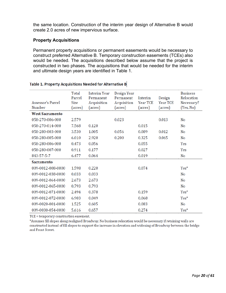the same location. Construction of the interim year design of Alternative B would create 2.0 acres of new impervious surface.

#### **Property Acquisitions**

Permanent property acquisitions or permanent easements would be necessary to construct preferred Alternative B. Temporary construction easements (TCEs) also would be needed. The acquisitions described below assume that the project is constructed in two phases. The acquisitions that would be needed for the interim and ultimate design years are identified in Table 1.

|                        | Total<br>Parcel | <b>Interim Year</b><br>Permanent | Design Year<br>Permanent | Interim  | Design   | <b>Business</b><br>Relocation |
|------------------------|-----------------|----------------------------------|--------------------------|----------|----------|-------------------------------|
| Assessor's Parcel      | Size            | Acquisition                      | Acquisition              | Year TCE | Year TCE | Necessary?                    |
| Number                 | (acres)         | (acres)                          | (acres)                  | (acres)  | (acres)  | (Yes, No)                     |
| <b>West Sacramento</b> |                 |                                  |                          |          |          |                               |
| 058-270-006-000        | 2.579           |                                  | 0.023                    |          | 0.013    | N <sub>0</sub>                |
| 058-270-014-000        | 7.568           | 0.120                            |                          | 0.015    |          | No                            |
| 058-280-003-000        | 3.530           | 1.005                            | 0.056                    | 0.089    | 0.012    | N <sub>o</sub>                |
| 058-280-005-000        | 6.010           | 2.920                            | 0.200                    | 0.325    | 0.065    | N <sub>o</sub>                |
| 058-280-006-000        | 0.473           | 0.056                            |                          | 0.055    |          | Yes                           |
| 058-280-007-000        | 0.911           | 0.177                            |                          | 0.027    |          | Yes                           |
| 843-57-5-7             | 6.477           | 0.064                            |                          | 0.019    |          | No                            |
| <b>Sacramento</b>      |                 |                                  |                          |          |          |                               |
| 009-0012-008-0000      | 1.598           | 0.220                            |                          | 0.074    |          | $Yes*$                        |
| 009-0012-038-0000      | 0.033           | 0.033                            |                          |          |          | No                            |
| 009-0012-064-0000      | 2.673           | 2.673                            |                          |          |          | No                            |
| 009-0012-065-0000      | 0.793           | 0.793                            |                          |          |          | No                            |
| 009-0012-071-0000      | 2.494           | 0.378                            |                          | 0.159    |          | $Yes*$                        |
| 009-0012-072-0000      | 6.903           | 0.049                            |                          | 0.068    |          | $Yes*$                        |
| 009-0020-001-0000      | 1.525           | 0.605                            |                          | 0.083    |          | No                            |
| 009-0030-054-0000      | 5.616           | 0.657                            |                          | 0.274    |          | $Yes*$                        |

#### Table 1. Property Acquisitions Needed for Alternative B

TCE = temporary construction easement.

\*Assumes fill slopes along realigned Broadway. No business relocation would be necessary if retaining walls are constructed instead of fill slopes to support the increase in elevation and widening of Broadway between the bridge and Front Street.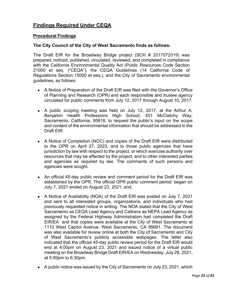# **Findings Required Under CEQA**

#### **Procedural Findings**

#### **The City Council of the City of West Sacramento finds as follows:**

The Draft EIR for the Broadway Bridge project (SCH # 2017072019) was prepared, noticed, published, circulated, reviewed, and completed in compliance with the California Environmental Quality Act (Public Resources Code Section 21000 et seq. ("CEQA"), the CEQA Guidelines (14 California Code of Regulations Section 15000 et seq.), and the City of Sacramento environmental guidelines, as follows:

- A Notice of Preparation of the Draft EIR was filed with the Governor's Office of Planning and Research (OPR) and each responsible and trustee agency circulated for public comments from July 12, 2017 through August 10, 2017.
- A public scoping meeting was held on July 12, 2017, at the Arthur A. Benjamin Health Professions High School, 451 McClatchy Way, Sacramento, California, 95818, to request the public's input on the scope and content of the environmental information that should be addressed in the Draft EIR.
- A Notice of Completion (NOC) and copies of the Draft EIR were distributed to the OPR on April 27, 2022, and to those public agencies that have jurisdiction by law with respect to the project, or which exercise authority over resources that may be affected by the project, and to other interested parties and agencies as required by law. The comments of such persons and agencies were sought.
- An official 45-day public review and comment period for the Draft EIR was established by the OPR. The official OPR public comment period began on July 7, 2021 ended on August 23, 2021; and.
- A Notice of Availability (NOA) of the Draft EIR was posted on July 7, 2021 and sent to all interested groups, organizations, and individuals who had previously requested notice in writing. The NOA stated that the City of West Sacramento as CEQA Lead Agency and Caltrans as NEPA Lead Agency as assigned by the Federal Highway Administration had completed the Draft EIR/EA and that copies were available at the City of West Sacramento at 1110 West Capitol Avenue, West Sacramento, CA 95691. The document was also available for review online at both the City of Sacramento and City of West Sacramento's publicly accessible webpages. The letter also indicated that the official 45-day public review period for the Draft EIR would end at 4:00pm on August 23, 2021 and issued notice of a virtual public meeting on the Broadway Bridge Draft EIR/EA on Wednesday, July 28, 2021, at 5:00pm to 6:30pm.
- A public notice was issued by the City of Sacramento on July 23, 2021, which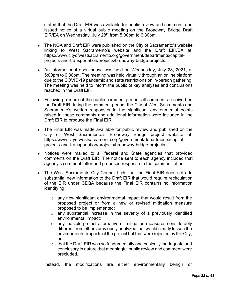stated that the Draft EIR was available for public review and comment, and issued notice of a virtual public meeting on the Broadway Bridge Draft EIR/EA on Wednesday, July 28<sup>th</sup> from 5:00pm to 6:30pm.

- The NOA and Draft EIR were published on the City of Sacramento's website linking to West Sacramento's website and the Draft EIR/EA at: https://www.cityofwestsacramento.org/government/departments/capitalprojects-and-transportation/projects/broadway-bridge-projects.
- An informational open house was held on Wednesday, July 28, 2021, at 5:00pm to 6:30pm. The meeting was held virtually through an online platform due to the COVID-19 pandemic and state restrictions on in-person gathering. The meeting was held to inform the public of key analyses and conclusions reached in the Draft EIR.
- Following closure of the public comment period, all comments received on the Draft EIR during the comment period, the City of West Sacramento and Sacramento's written responses to the significant environmental points raised in those comments,and additional information were included in the Draft EIR to produce the Final EIR.
- The Final EIR was made available for public review and published on the City of West Sacramento's Broadway Bridge project website at: https://www.cityofwestsacramento.org/government/departments/capitalprojects-and-transportation/projects/broadway-bridge-projects
- Notices were mailed to all federal and State agencies that provided comments on the Draft EIR. The notice sent to each agency included that agency's comment letter and proposed response to the comment letter.
- The West Sacramento City Council finds that the Final EIR does not add substantial new information to the Draft EIR that would require recirculation of the EIR under CEQA because the Final EIR contains no information identifying:
	- $\circ$  any new significant environmental impact that would result from the proposed project or from a new or revised mitigation measure proposed to be implemented;
	- $\circ$  any substantial increase in the severity of a previously identified environmental impact;
	- $\circ$  any feasible project alternative or mitigation measures considerably different from others previously analyzed that would clearly lessen the environmental impacts of the project but that were rejected by the City; or
	- $\circ$  that the Draft EIR was so fundamentally and basically inadequate and conclusory in nature that meaningful public review and comment were precluded.

Instead, the modifications are either environmentally benign or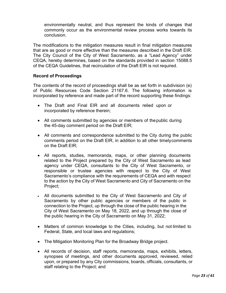environmentally neutral, and thus represent the kinds of changes that commonly occur as the environmental review process works towards its conclusion.

The modifications to the mitigation measures result in final mitigation measures that are as good or more effective than the measures described in the Draft EIR. The City Council of the City of West Sacramento, as a "Lead Agency" under CEQA, hereby determines, based on the standards provided in section 15088.5 of the CEQA Guidelines, that recirculation of the Draft EIR is not required.

# **Record of Proceedings**

The contents of the record of proceedings shall be as set forth in subdivision (e) of Public Resources Code Section 21167.6. The following information is incorporated by reference and made part of the record supporting these findings:

- The Draft and Final EIR and all documents relied upon or incorporated by reference therein;
- All comments submitted by agencies or members of thepublic during the 45-day comment period on the Draft EIR;
- All comments and correspondence submitted to the City during the public comments period on the Draft EIR, in addition to all other timelycomments on the Draft EIR;
- All reports, studies, memoranda, maps, or other planning documents related to the Project prepared by the City of West Sacramento as lead agency under CEQA, consultants to the City of West Sacramento, or responsible or trustee agencies with respect to the City of West Sacramento's compliance with the requirements of CEQA and with respect to the action by the City of West Sacramento and City of Sacramento on the Project;
- All documents submitted to the City of West Sacramento and City of Sacramento by other public agencies or members of the public in connection to the Project, up through the close of the public hearing in the City of West Sacramento on May 18, 2022, and up through the close of the public hearing in the City of Sacramento on May 31, 2022;
- Matters of common knowledge to the Cities, including, but not limited to Federal, State, and local laws and regulations;
- The Mitigation Monitoring Plan for the Broadway Bridge project.
- All records of decision, staff reports, memoranda, maps, exhibits, letters, synopses of meetings, and other documents approved, reviewed, relied upon, or prepared by any City commissions, boards, officials, consultants, or staff relating to the Project; and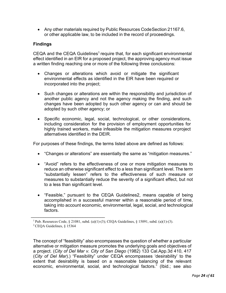• Any other materials required by Public Resources Code Section 21167.6, or other applicable law, to be included in the record of proceedings.

# **Findings**

 $CEQA$  and the  $CEQA$  Guidelines<sup>1</sup> require that, for each significant environmental effect identified in an EIR for a proposed project, the approving agency must issue a written finding reaching one or more of the following three conclusions:

- Changes or alterations which avoid or mitigate the significant environmental effects as identified in the EIR have been required or incorporated into the project;
- Such changes or alterations are within the responsibility and jurisdiction of another public agency and not the agency making the finding, and such changes have been adopted by such other agency or can and should be adopted by such other agency; or
- Specific economic, legal, social, technological, or other considerations, including consideration for the provision of employment opportunities for highly trained workers, make infeasible the mitigation measures orproject alternatives identified in the DEIR.

For purposes of these findings, the terms listed above are defined as follows:

- "Changes or alterations" are essentially the same as "mitigation measures."
- "Avoid" refers to the effectiveness of one or more mitigation measures to reduce an otherwise significant effect to a less than significant level. The term "substantially lessen" refers to the effectiveness of such measure or measures to substantially reduce the severity of a significant effect, but not to a less than significant level.
- "Feasible," pursuant to the CEQA Guidelines2, means capable of being accomplished in a successful manner within a reasonable period of time, taking into account economic, environmental, legal, social, and technological factors.

\_\_\_\_\_\_\_\_\_\_\_\_\_\_\_\_\_\_\_\_\_\_\_\_\_\_\_\_\_\_

The concept of "feasibility" also encompasses the question of whether a particular alternative or mitigation measure promotes the underlying goals and objectives of a project. (*City of Del Mar v. City of San Diego* (1982) 133 Cal.App.3d 410, 417 (*City of Del Mar*).) "Feasibility" under CEQA encompasses 'desirability' to the extent that desirability is based on a reasonable balancing of the relevant economic, environmental, social, and technological factors." (Ibid.; see also

<sup>&</sup>lt;sup>1</sup> Pub. Resources Code, § 21081, subd. (a)(1)-(3); CEQA Guidelines, § 15091, subd. (a)(1)-(3). 2 CEQA Guidelines, § 15364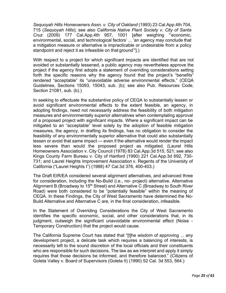*Sequoyah Hills Homeowners Assn. v. City of Oakland* (1993) 23 Cal.App.4th 704, 715 (*Sequoyah Hills*); see also *California Native Plant Society v. City of Santa Cruz* (2009) 177 Cal.App.4th 957, 1001 [after weighing "'economic, environmental, social, and technological factors' ... 'an agency may conclude that a mitigation measure or alternative is impracticable or undesirable from a policy standpoint and reject it as infeasible on that ground'"].)

With respect to a project for which significant impacts are identified that are not avoided or substantially lessened, a public agency may nevertheless approve the project if the agency first adopts a statement of overriding considerations setting forth the specific reasons why the agency found that the project's "benefits" rendered "acceptable" its "unavoidable adverse environmental effects." (CEQA Guidelines, Sections 15093, 15043, sub. (b); see also Pub. Resources Code, Section 21081, sub. (b).)

In seeking to effectuate the substantive policy of CEQA to substantially lessen or avoid significant environmental effects to the extent feasible, an agency, in adopting findings, need not necessarily address the feasibility of both mitigation measures and environmentally superior alternatives when contemplating approval of a proposed project with significant impacts. Where a significant impact can be mitigated to an "acceptable" level solely by the adoption of feasible mitigation measures, the agency, in drafting its findings, has no obligation to consider the feasibility of any environmentally superior alternative that could also substantially lessen or avoid that same impact — even if the alternative would render the impact less severe than would the proposed project as mitigated. (Laurel Hills Homeowners Association v. City Council (1978) 83 Cal.App.3d 515, 521; see also Kings County Farm Bureau v. City of Hanford (1990) 221 Cal.App.3d 692, 730- 731; and Laurel Heights Improvement Association v. Regents of the University of California ("Laurel Heights I") (1988) 47 Cal.3d 376, 400-403.)

The Draft EIR/EA considered several alignment alternatives, and advanced three for consideration, including the No-Build (i.e., no- project) alternative. Alternative Alignment B (Broadway to 15<sup>th</sup> Street) and Alternative C (Broadway to South River Road) were both considered to be "potentially feasible" within the meaning of CEQA. In these Findings, the City of West Sacramento have determined the No-Build Alternative and Alternative C are, in the final consideration, infeasible.

In the Statement of Overriding Considerations the City of West Sacramento identifies the specific economic, social, and other considerations that, in its judgment, outweigh the significant unavoidable environmental effect (Noise - Temporary Construction) that the project would cause.

The California Supreme Court has stated that "[t]he wisdom of approving ... any development project, a delicate task which requires a balancing of interests, is necessarily left to the sound discretion of the local officials and their constituents who are responsible for such decisions. The law as we interpret and apply it simply requires that those decisions be informed, and therefore balanced." (Citizens of Goleta Valley v. Board of Supervisors (Goleta II) (1990) 52 Cal. 3d 553, 564.)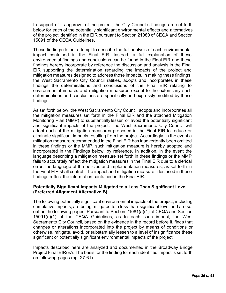In support of its approval of the project, the City Council's findings are set forth below for each of the potentially significant environmental effects and alternatives of the project identified in the EIR pursuant to Section 21080 of CEQA and Section 15091 of the CEQA Guidelines.

These findings do not attempt to describe the full analysis of each environmental impact contained in the Final EIR. Instead, a full explanation of these environmental findings and conclusions can be found in the Final EIR and these findings hereby incorporate by reference the discussion and analysis in the Final EIR supporting the determination regarding the impacts of the project and mitigation measures designed to address those impacts. In making these findings, the West Sacramento City Council ratifies, adopts and incorporates in these findings the determinations and conclusions of the Final EIR relating to environmental impacts and mitigation measures except to the extent any such determinations and conclusions are specifically and expressly modified by these findings.

As set forth below, the West Sacramento City Council adopts and incorporates all the mitigation measures set forth in the Final EIR and the attached Mitigation Monitoring Plan (MMP) to substantially lessen or avoid the potentially significant and significant impacts of the project. The West Sacramento City Council will adopt each of the mitigation measures proposed in the Final EIR to reduce or eliminate significant impacts resulting from the project. Accordingly, in the event a mitigation measure recommended in the Final EIR has inadvertently been omitted in these findings or the MMP, such mitigation measure is hereby adopted and incorporated in the Findings below, by reference. In addition, in the event the language describing a mitigation measure set forth in these findings or the MMP fails to accurately reflect the mitigation measures in the Final EIR due to a clerical error, the language of the policies and implementation measures, as set forth in the Final EIR shall control. The impact and mitigation measure titles used in these findings reflect the information contained in the Final EIR.

#### **Potentially Significant Impacts Mitigated to a Less Than Significant Level (Preferred Alignment Alternative B)**

The following potentially significant environmental impacts of the project, including cumulative impacts, are being mitigated to a less-than-significant level and are set out on the following pages. Pursuant to Section 21081(a)(1) of CEQA and Section 15091(a)(1) of the CEQA Guidelines, as to each such impact, the West Sacramento City Council, based on the evidence in the record before it, finds that changes or alterations incorporated into the project by means of conditions or otherwise, mitigate, avoid, or substantially lessen to a level of insignificance these significant or potentially significant environmental impacts of the project.

Impacts described here are analyzed and documented in the Broadway Bridge Project Final EIR/EA. The basis for the finding for each identified impact is set forth on following pages (pg. 27-61).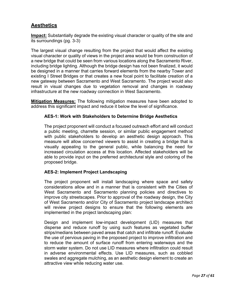# **Aesthetics**

**Impact:** Substantially degrade the existing visual character or quality of the site and its surroundings (pg. 3-3)

The largest visual change resulting from the project that would affect the existing visual character or quality of views in the project area would be from construction of a new bridge that could be seen from various locations along the Sacramento River, including bridge lighting. Although the bridge design has not been finalized, it would be designed in a manner that carries forward elements from the nearby Tower and existing I Street Bridges or that creates a new focal point to facilitate creation of a new gateway between Sacramento and West Sacramento. The project would also result in visual changes due to vegetation removal and changes in roadway infrastructure at the new roadway connection in West Sacramento.

**Mitigation Measures:** The following mitigation measures have been adopted to address this significant impact and reduce it below the level of significance.

# **AES-1: Work with Stakeholders to Determine Bridge Aesthetics**

The project proponent will conduct a focused outreach effort and will conduct a public meeting, charrette session, or similar public engagement method with public stakeholders to develop an aesthetic design approach. This measure will allow concerned viewers to assist in creating a bridge that is visually appealing to the general public, while balancing the need for increased circulation access at this location. Affected stakeholders will be able to provide input on the preferred architectural style and coloring of the proposed bridge.

# **AES-2: Implement Project Landscaping**

The project proponent will install landscaping where space and safety considerations allow and in a manner that is consistent with the Cities of West Sacramento and Sacramento planning policies and directives to improve city streetscapes. Prior to approval of the roadway design, the City of West Sacramento and/or City of Sacramento project landscape architect will review project designs to ensure that the following elements are implemented in the project landscaping plan:

Design and implement low-impact development (LID) measures that disperse and reduce runoff by using such features as vegetated buffer strips/medians between paved areas that catch and infiltrate runoff. Evaluate the use of pervious paving in the proposed project to improve infiltration and to reduce the amount of surface runoff from entering waterways and the storm water system. Do not use LID measures where infiltration could result in adverse environmental effects. Use LID measures, such as cobbled swales and aggregate mulching, as an aesthetic design element to create an attractive view while reducing water use.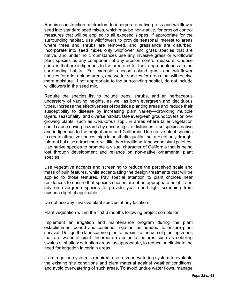Require construction contractors to incorporate native grass and wildflower seed into standard seed mixes, which may be non-native, for erosion control measures that will be applied to all exposed slopes. If appropriate for the surrounding habitat, use wildflowers to provide seasonal interest to areas where trees and shrubs are removed, and grasslands are disturbed. Incorporate into seed mixes only wildflower and grass species that are native, and under no circumstances use any invasive grass or wildflower plant species as any component of any erosion control measure. Choose species that are indigenous to the area and for their appropriateness to the surrounding habitat. For example, choose upland grass and wildflower species for drier upland areas, and wetter species for areas that will receive more moisture. If not appropriate to the surrounding habitat, do not include wildflowers in the seed mix.

Require the species list to include trees, shrubs, and an herbaceous understory of varying heights, as well as both evergreen and deciduous types. Increase the effectiveness of roadside planting areas and reduce their susceptibility to disease by increasing plant variety—providing multiple layers, seasonality, and diverse habitat. Use evergreen groundcovers or lowgrowing plants, such as *Ceanothus* spp., in areas where taller vegetation could cause driving hazards by obscuring site distances. Use species native and indigenous to the project area and California. Use native plant species to create attractive spaces, high in aesthetic quality, that are not only drought tolerant but also attract more wildlife than traditional landscape plant palettes. Use native species to promote a visual character of California that is being lost through development and reliance on non-native ornamental plant species.

Use vegetative accents and screening to reduce the perceived scale and mass of built features, while accentuating the design treatments that will be applied to those features. Pay special attention to plant choices near residences to ensure that species chosen are of an appropriate height; and rely on evergreen species to provide year-round light screening from nuisance light, if applicable.

Do not use any invasive plant species at any location.

Plant vegetation within the first 6 months following project completion.

Implement an irrigation and maintenance program during the plant establishment period and continue irrigation, as needed, to ensure plant survival. Design the landscaping plan to maximize the use of planting zones that are water efficient. Incorporate aesthetic features such as cobbling swales or shallow detention areas, as appropriate, to reduce or eliminate the need for irrigation in certain areas.

If an irrigation system is required, use a smart watering system to evaluate the existing site conditions and plant material against weather conditions, and avoid overwatering of such areas. To avoid undue water flows, manage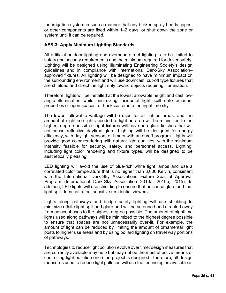the irrigation system in such a manner that any broken spray heads, pipes, or other components are fixed within 1–2 days; or shut down the zone or system until it can be repaired.

# **AES-3: Apply Minimum Lighting Standards**

All artificial outdoor lighting and overhead street lighting is to be limited to safety and security requirements and the minimum required for driver safety. Lighting will be designed using Illuminating Engineering Society's design guidelines and in compliance with International Dark-Sky Association– approved fixtures. All lighting will be designed to have minimum impact on the surrounding environment and will use downcast, cut-off type fixtures that are shielded and direct the light only toward objects requiring illumination.

Therefore, lights will be installed at the lowest allowable height and cast lowangle illumination while minimizing incidental light spill onto adjacent properties or open spaces, or backscatter into the nighttime sky.

The lowest allowable wattage will be used for all lighted areas, and the amount of nighttime lights needed to light an area will be minimized to the highest degree possible. Light fixtures will have non-glare finishes that will not cause reflective daytime glare. Lighting will be designed for energy efficiency, with daylight sensors or timers with an on/off program. Lights will provide good color rendering with natural light qualities, with the minimum intensity feasible for security, safety, and personnel access. Lighting, including light color rendering and fixture types, will be designed to be aesthetically pleasing.

LED lighting will avoid the use of blue-rich white light lamps and use a correlated color temperature that is no higher than 3,000 Kelvin, consistent with the International Dark-Sky Associations Fixture Seal of Approval Program (International Dark-Sky Association 2010a, 2010b, 2015). In addition, LED lights will use shielding to ensure that nuisance glare and that light spill does not affect sensitive residential viewers.

Lights along pathways and bridge safety lighting will use shielding to minimize offsite light spill and glare and will be screened and directed away from adjacent uses to the highest degree possible. The amount of nighttime lights used along pathways will be minimized to the highest degree possible to ensure that spaces are not unnecessarily over-lit. For example, the amount of light can be reduced by limiting the amount of ornamental light posts to higher use areas and by using bollard lighting on travel way portions of pathways.

Technologies to reduce light pollution evolve over time; design measures that are currently available may help but may not be the most effective means of controlling light pollution once the project is designed. Therefore, all design measures used to reduce light pollution will use the technologies available at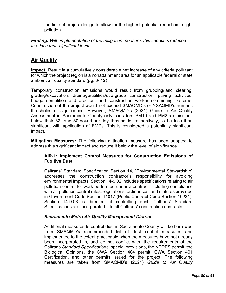the time of project design to allow for the highest potential reduction in light pollution.

*Finding: With implementation of the mitigation measure, this impact is reduced to a less-than-significant level.*

# **Air Quality**

**Impact:** Result in a cumulatively considerable net increase of any criteria pollutant for which the project region is a nonattainment area for an applicable federal or state ambient air quality standard (pg. 3- 12)

Temporary construction emissions would result from grubbing/land clearing, grading/excavation, drainage/utilities/sub-grade construction, paving activities, bridge demolition and erection, and construction worker commuting patterns. Construction of the project would not exceed SMAQMD's or YSAQMD's numeric thresholds of significance. However, SMAQMD's (2021) Guide to Air Quality Assessment in Sacramento County only considers PM10 and PM2.5 emissions below their 82- and 80-pound-per-day thresholds, respectively, to be less than significant with application of BMPs. This is considered a potentially significant impact.

**Mitigation Measures:** The following mitigation measure has been adopted to address this significant impact and reduce it below the level of significance.

# **AIR-1: Implement Control Measures for Construction Emissions of Fugitive Dust**

Caltrans' Standard Specification Section 14, "Environmental Stewardship" addresses the construction contractor's responsibility for avoiding environmental impacts. Section 14-9.02 includes specifications relating to air pollution control for work performed under a contract, including compliance with air pollution control rules, regulations, ordinances, and statutes provided in Government Code Section 11017 (Public Contract Code Section 10231). Section 14-9.03 is directed at controlling dust. Caltrans' Standard Specifications are incorporated into all Caltrans' construction contracts.

# *Sacramento Metro Air Quality Management District*

Additional measures to control dust in Sacramento County will be borrowed from SMAQMD's recommended list of dust control measures and implemented to the extent practicable when the measures have not already been incorporated in, and do not conflict with, the requirements of the Caltrans *Standard Specifications*, special provisions, the NPDES permit, the Biological Opinions, the CWA Section 404 permit, CWA Section 401 Certification, and other permits issued for the project. The following measures are taken from SMAQMD's (2021) *Guide to Air Quality*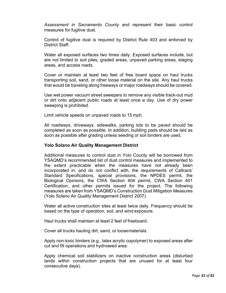*Assessment in Sacramento County* and represent their basic control measures for fugitive dust.

Control of fugitive dust is required by District Rule 403 and enforced by District Staff.

Water all exposed surfaces two times daily. Exposed surfaces include, but are not limited to soil piles, graded areas, unpaved parking areas, staging areas, and access roads.

Cover or maintain at least two feet of free board space on haul trucks transporting soil, sand, or other loose material on the site. Any haul trucks that would be traveling along freeways or major roadways should be covered.

Use wet power vacuum street sweepers to remove any visible track-out mud or dirt onto adjacent public roads at least once a day. Use of dry power sweeping is prohibited.

Limit vehicle speeds on unpaved roads to 15 mph.

All roadways, driveways, sidewalks, parking lots to be paved should be completed as soon as possible. In addition, building pads should be laid as soon as possible after grading unless seeding or soil binders are used.

#### **Yolo Solano Air Quality Management District**

Additional measures to control dust in Yolo County will be borrowed from YSAQMD's recommended list of dust control measures and implemented to the extent practicable when the measures have not already been incorporated in, and do not conflict with, the requirements of Caltrans' Standard Specifications, special provisions, the NPDES permit, the Biological Opinions, the CWA Section 404 permit, CWA Section 401 Certification, and other permits issued for the project. The following measures are taken from YSAQMD's Construction Dust Mitigation Measures (Yolo Solano Air Quality Management District 2007).

Water all active construction sites at least twice daily. Frequency should be based on the type of operation, soil, and wind exposure.

Haul trucks shall maintain at least 2 feet of freeboard.

Cover all trucks hauling dirt, sand, or loosematerials.

Apply non-toxic binders (e.g., latex acrylic copolymer) to exposed areas after cut and fill operations and hydroseed area.

Apply chemical soil stabilizers on inactive construction areas (disturbed lands within construction projects that are unused for at least four consecutive days).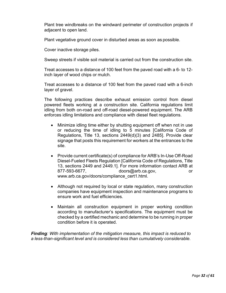Plant tree windbreaks on the windward perimeter of construction projects if adjacent to open land.

Plant vegetative ground cover in disturbed areas as soon as possible.

Cover inactive storage piles.

Sweep streets if visible soil material is carried out from the construction site.

Treat accesses to a distance of 100 feet from the paved road with a 6- to 12 inch layer of wood chips or mulch.

Treat accesses to a distance of 100 feet from the paved road with a 6-inch layer of gravel.

The following practices describe exhaust emission control from diesel powered fleets working at a construction site. California regulations limit idling from both on-road and off-road diesel-powered equipment. The ARB enforces idling limitations and compliance with diesel fleet regulations.

- Minimize idling time either by shutting equipment off when not in use or reducing the time of idling to 5 minutes [California Code of Regulations, Title 13, sections 2449(d)(3) and 2485]. Provide clear signage that posts this requirement for workers at the entrances to the site.
- Provide current certificate(s) of compliance for ARB's In-Use Off-Road Diesel-Fueled Fleets Regulation [California Code of Regulations, Title 13, sections 2449 and 2449.1]. For more information contact ARB at 877-593-6677, doors@arb.ca.gov, or www.arb.ca.gov/doors/compliance\_cert1.html.
- Although not required by local or state regulation, many construction companies have equipment inspection and maintenance programs to ensure work and fuel efficiencies.
- Maintain all construction equipment in proper working condition according to manufacturer's specifications. The equipment must be checked by a certified mechanic and determine to be running in proper condition before it is operated.

*Finding: With implementation of the mitigation measure, this impact is reduced to a less-than-significant level and is considered less than cumulatively considerable.*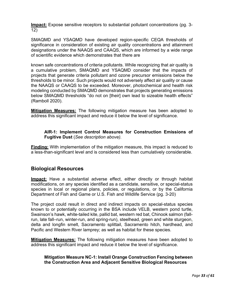**Impact:** Expose sensitive receptors to substantial pollutant concentrations (pg. 3- 12)

SMAQMD and YSAQMD have developed region-specific CEQA thresholds of significance in consideration of existing air quality concentrations and attainment designations under the NAAQS and CAAQS, which are informed by a wide range of scientific evidence which demonstrates that there are

known safe concentrations of criteria pollutants. While recognizing that air quality is a cumulative problem, SMAQMD and YSAQMD consider that the impacts of projects that generate criteria pollutant and ozone precursor emissions below the thresholds to be minor. Such projects would not adversely affect air quality or cause the NAAQS or CAAQS to be exceeded. Moreover, photochemical and health risk modeling conducted by SMAQMD demonstrates that projects generating emissions below SMAQMD thresholds "do not on [their] own lead to sizeable health effects" (Ramboll 2020).

**Mitigation Measures:** The following mitigation measure has been adopted to address this significant impact and reduce it below the level of significance.

**AIR-1: Implement Control Measures for Construction Emissions of Fugitive Dust** (*See description above).* 

**Finding:** With implementation of the mitigation measure, this impact is reduced to a less-than-significant level and is considered less than cumulatively considerable.

# **Biological Resources**

**Impact:** Have a substantial adverse effect, either directly or through habitat modifications, on any species identified as a candidate, sensitive, or special-status species in local or regional plans, policies, or regulations, or by the California Department of Fish and Game or U.S. Fish and Wildlife Service (pg. 3-20)

The project could result in direct and indirect impacts on special-status species known to or potentially occurring in the BSA include VELB, western pond turtle, Swainson's hawk, white-tailed kite, pallid bat, western red bat, Chinook salmon (fallrun, late fall–run, winter-run, and spring-run), steelhead, green and white sturgeon, delta and longfin smelt, Sacramento splittail, Sacramento hitch, hardhead, and Pacific and Western River lamprey; as well as habitat for these species.

**Mitigation Measures:** The following mitigation measures have been adopted to address this significant impact and reduce it below the level of significance.

# **Mitigation Measure NC-1: Install Orange Construction Fencing between the Construction Area and Adjacent Sensitive Biological Resources**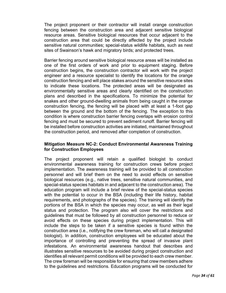The project proponent or their contractor will install orange construction fencing between the construction area and adjacent sensitive biological resource areas. Sensitive biological resources that occur adjacent to the construction area that could be directly affected by the project include sensitive natural communities; special-status wildlife habitats, such as nest sites of Swainson's hawk and migratory birds; and protected trees.

Barrier fencing around sensitive biological resource areas will be installed as one of the first orders of work and prior to equipment staging. Before construction begins, the construction contractor will work with the project engineer and a resource specialist to identify the locations for the orange construction fencing and will place stakes around the sensitive resource sites to indicate these locations. The protected areas will be designated as environmentally sensitive areas and clearly identified on the construction plans and described in the specifications. To minimize the potential for snakes and other ground-dwelling animals from being caught in the orange construction fencing, the fencing will be placed with at least a 1-foot gap between the ground and the bottom of the fencing. The exception to this condition is where construction barrier fencing overlaps with erosion control fencing and must be secured to prevent sediment runoff. Barrier fencing will be installed before construction activities are initiated, maintained throughout the construction period, and removed after completion of construction.

#### **Mitigation Measure NC-2: Conduct Environmental Awareness Training for Construction Employees**

The project proponent will retain a qualified biologist to conduct environmental awareness training for construction crews before project implementation. The awareness training will be provided to all construction personnel and will brief them on the need to avoid effects on sensitive biological resources (e.g., native trees, sensitive natural communities, and special-status species habitats in and adjacent to the construction area). The education program will include a brief review of the special-status species with the potential to occur in the BSA (including their life history, habitat requirements, and photographs of the species). The training will identify the portions of the BSA in which the species may occur, as well as their legal status and protection. The program also will cover the restrictions and guidelines that must be followed by all construction personnel to reduce or avoid effects on these species during project implementation. This will include the steps to be taken if a sensitive species is found within the construction area (i.e., notifying the crew foreman, who will call a designated biologist). In addition, construction employees will be educated about the importance of controlling and preventing the spread of invasive plant infestations. An environmental awareness handout that describes and illustrates sensitive resources to be avoided during project construction and identifies all relevant permit conditions will be provided to each crew member. The crew foreman will be responsible for ensuring that crew members adhere to the guidelines and restrictions. Education programs will be conducted for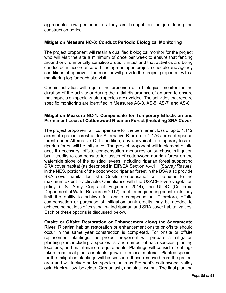appropriate new personnel as they are brought on the job during the construction period.

#### **Mitigation Measure NC-3: Conduct Periodic Biological Monitoring**

The project proponent will retain a qualified biological monitor for the project who will visit the site a minimum of once per week to ensure that fencing around environmentally sensitive areas is intact and that activities are being conducted in accordance with the agreed upon project schedule and agency conditions of approval. The monitor will provide the project proponent with a monitoring log for each site visit.

Certain activities will require the presence of a biological monitor for the duration of the activity or during the initial disturbance of an area to ensure that impacts on special-status species are avoided. The activities that require specific monitoring are identified in Measures AS-3, AS-5, AS-7, and AS-8*.*

#### **Mitigation Measure NC-4: Compensate for Temporary Effects on and Permanent Loss of Cottonwood Riparian Forest (Including SRA Cover)**

The project proponent will compensate for the permanent loss of up to 1.112 acres of riparian forest under Alternative B or up to 1.176 acres of riparian forest under Alternative C. In addition, any unavoidable temporary loss of riparian forest will be mitigated. The project proponent will implement onsite and, if necessary, offsite compensation measures or purchase mitigation bank credits to compensate for losses of cottonwood riparian forest on the waterside slope of the existing levees, including riparian forest supporting SRA cover habitat (as described in EIR/EA Section 4.4.1.1 [*Survey Results*] in the NES*,* portions of the cottonwood riparian forest in the BSA also provide SRA cover habitat for fish). Onsite compensation will be used to the maximum extent practicable. Compliance with the USACE levee vegetation policy (U.S. Army Corps of Engineers 2014), the ULDC (California Department of Water Resources 2012), or other engineering constraints may limit the ability to achieve full onsite compensation. Therefore, offsite compensation or purchase of mitigation bank credits may be needed to achieve no net loss of existing in-kind riparian and SRA cover habitat values. Each of these options is discussed below.

**Onsite or Offsite Restoration or Enhancement along the Sacramento River.** Riparian habitat restoration or enhancement onsite or offsite should occur in the same year construction is completed. For onsite or offsite replacement plantings, the project proponent will prepare a mitigation planting plan, including a species list and number of each species, planting locations, and maintenance requirements. Plantings will consist of cuttings taken from local plants or plants grown from local material. Planted species for the mitigation plantings will be similar to those removed from the project area and will include native species, such as Fremont's cottonwood, valley oak, black willow, boxelder, Oregon ash, and black walnut. The final planting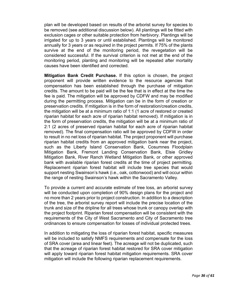plan will be developed based on results of the arborist survey for species to be removed (see additional discussion below). All plantings will be fitted with exclusion cages or other suitable protection from herbivory. Plantings will be irrigated for up to 3 years or until established. Plantings will be monitored annually for 3 years or as required in the project permits. If 75% of the plants survive at the end of the monitoring period, the revegetation will be considered successful. If the survival criterion is not met at the end of the monitoring period, planting and monitoring will be repeated after mortality causes have been identified and corrected.

**Mitigation Bank Credit Purchase.** If this option is chosen, the project proponent will provide written evidence to the resource agencies that compensation has been established through the purchase of mitigation credits. The amount to be paid will be the fee that is in effect at the time the fee is paid. The mitigation will be approved by CDFW and may be modified during the permitting process. Mitigation can be in the form of creation or preservation credits. If mitigation is in the form of restoration/creation credits, the mitigation will be at a minimum ratio of 1:1 (1 acre of restored or created riparian habitat for each acre of riparian habitat removed). If mitigation is in the form of preservation credits, the mitigation will be at a minimum ratio of 2:1 (2 acres of preserved riparian habitat for each acre of riparian habitat removed). The final compensation ratio will be approved by CDFW in order to result in no net loss of riparian habitat. The project proponent will purchase riparian habitat credits from an approved mitigation bank near the project, such as the Liberty Island Conservation Bank, Cosumnes Floodplain Mitigation Bank, Fremont Landing Conservation Bank, Elsie Gridley Mitigation Bank, River Ranch Wetland Mitigation Bank, or other approved bank with available riparian forest credits at the time of project permitting. Replacement riparian forest habitat will include tree species that would support nesting Swainson's hawk (i.e., oak, cottonwood) and will occur within the range of nesting Swainson's hawk within the Sacramento Valley.

To provide a current and accurate estimate of tree loss, an arborist survey will be conducted upon completion of 90% design plans for the project and no more than 2 years prior to project construction. In addition to a description of the tree, the arborist survey report will include the precise location of the trunk and size of the dripline for all trees whose trunk or canopy overlap with the project footprint. Riparian forest compensation will be consistent with the requirements of the City of West Sacramento and City of Sacramento tree ordinances to ensure compensation for losses of individual protected trees.

In addition to mitigating the loss of riparian forest habitat, specific measures will be included to satisfy NMFS requirements and compensate for the loss of SRA cover (area and linear feet). The acreage will not be duplicated, such that the acreage of riparian forest habitat restored for SRA cover mitigation will apply toward riparian forest habitat mitigation requirements. SRA cover mitigation will include the following riparian replacement requirements.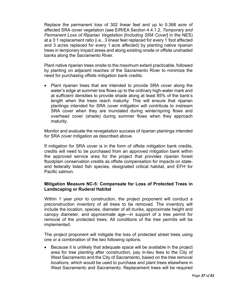Replace the permanent loss of 302 linear feet and up to 0.368 acre of affected SRA cover vegetation (see EIR/EA Section 4.4.1.2, *Temporary and Permanent Loss of Riparian Vegetation [Including SRA Cover*] in the NES) at a 3:1 replacement ratio (i.e., 3 linear feet replaced for every 1 foot affected and 3 acres replaced for every 1 acre affected) by planting native riparian trees in temporary impact areas and along existing onsite or offsite unshaded banks along the Sacramento River.

Plant native riparian trees onsite to the maximum extent practicable, followed by planting on adjacent reaches of the Sacramento River to minimize the need for purchasing offsite mitigation bank credits.

• Plant riparian trees that are intended to provide SRA cover along the water's edge at summer low flows up to the ordinary high-water mark and at sufficient densities to provide shade along at least 85% of the bank's length when the trees reach maturity. This will ensure that riparian plantings intended for SRA cover mitigation will contribute to instream SRA cover when they are inundated during winter/spring flows and overhead cover (shade) during summer flows when they approach maturity.

Monitor and evaluate the revegetation success of riparian plantings intended for SRA cover mitigation as described above.

If mitigation for SRA cover is in the form of offsite mitigation bank credits, credits will need to be purchased from an approved mitigation bank within the approved service area for the project that provides riparian forest floodplain conservation credits as offsite compensation for impacts on stateand federally listed fish species, designated critical habitat, and EFH for Pacific salmon.

# **Mitigation Measure NC-5: Compensate for Loss of Protected Trees in Landscaping or Ruderal Habitat**

Within 1 year prior to construction, the project proponent will conduct a preconstruction inventory of all trees to be removed. The inventory will include the location, species, diameter of all trunks, approximate height and canopy diameter, and approximate age—in support of a tree permit for removal of the protected trees. All conditions of the tree permits will be implemented.

The project proponent will mitigate the loss of protected street trees using one or a combination of the two following options.

• Because it is unlikely that adequate space will be available in the project area for tree planting after construction, pay in-lieu fees to the City of West Sacramento and the City of Sacramento, based on the tree removal locations, which would be used to purchase and plant trees elsewhere in West Sacramento and Sacramento. Replacement trees will be required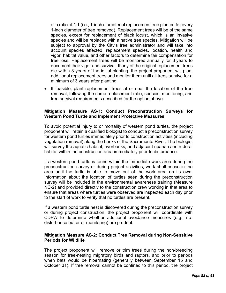at a ratio of 1:1 (i.e., 1-inch diameter of replacement tree planted for every 1-inch diameter of tree removed). Replacement trees will be of the same species, except for replacement of black locust, which is an invasive species and will be replaced with a native tree species. Mitigation will be subject to approval by the City's tree administrator and will take into account species affected, replacement species, location, health and vigor, habitat value, and other factors to determine fair compensation for tree loss. Replacement trees will be monitored annually for 3 years to document their vigor and survival. If any of the original replacement trees die within 3 years of the initial planting, the project proponent will plant additional replacement trees and monitor them until all trees survive for a minimum of 3 years after planting.

• If feasible, plant replacement trees at or near the location of the tree removal, following the same replacement ratio, species, monitoring, and tree survival requirements described for the option above.

#### **Mitigation Measure AS-1: Conduct Preconstruction Surveys for Western Pond Turtle and Implement Protective Measures**

To avoid potential injury to or mortality of western pond turtles, the project proponent will retain a qualified biologist to conduct a preconstruction survey for western pond turtles immediately prior to construction activities (including vegetation removal) along the banks of the Sacramento River. The biologist will survey the aquatic habitat, riverbanks, and adjacent riparian and ruderal habitat within the construction area immediately prior to disturbance.

If a western pond turtle is found within the immediate work area during the preconstruction survey or during project activities, work shall cease in the area until the turtle is able to move out of the work area on its own. Information about the location of turtles seen during the preconstruction survey will be included in the environmental awareness training (Measure NC-2) and provided directly to the construction crew working in that area to ensure that areas where turtles were observed are inspected each day prior to the start of work to verify that no turtles are present.

If a western pond turtle nest is discovered during the preconstruction survey or during project construction, the project proponent will coordinate with CDFW to determine whether additional avoidance measures (e.g., nodisturbance buffer or monitoring) are prudent.

#### **Mitigation Measure AS-2: Conduct Tree Removal during Non-Sensitive Periods for Wildlife**

The project proponent will remove or trim trees during the non-breeding season for tree-nesting migratory birds and raptors, and prior to periods when bats would be hibernating (generally between September 15 and October 31). If tree removal cannot be confined to this period, the project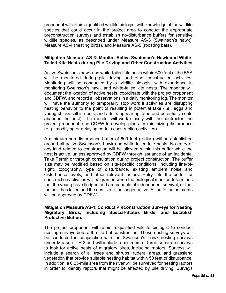proponent will retain a qualified wildlife biologist with knowledge of the wildlife species that could occur in the project area to conduct the appropriate preconstruction surveys and establish no-disturbance buffers for sensitive wildlife species, as described under Measure AS-3 (Swainson's hawk), Measure AS-4 (nesting birds), and Measure AS-5 (roosting bats).

#### **Mitigation Measure AS-3: Monitor Active Swainson's Hawk and White-Tailed Kite Nests during Pile Driving and Other Construction Activities**

Active Swainson's hawk and white-tailed kite nests within 600 feet of the BSA will be monitored during pile driving and other construction activities. Monitoring will be conducted by a wildlife biologist with experience in monitoring Swainson's hawk and white-tailed kite nests. The monitor will document the location of active nests, coordinate with the project proponent and CDFW, and record all observations in a daily monitoring log. The monitor will have the authority to temporarily stop work if activities are disrupting nesting behavior to the point of resulting in potential take (i.e., eggs and young chicks still in nests, and adults appear agitated and potentially could abandon the nest). The monitor will work closely with the contractor, the project proponent, and CDFW to develop plans for minimizing disturbance (e.g., modifying or delaying certain construction activities).

A minimum non-disturbance buffer of 600 feet (radius) will be established around all active Swainson's hawk and white-tailed kite nests. No entry of any kind related to construction will be allowed within this buffer while the nest is active, unless approved by CDFW through issuance of an Incidental Take Permit or through consultation during project construction. The buffer size may be modified based on site-specific conditions, including line-ofsight, topography, type of disturbance, existing ambient noise and disturbance levels, and other relevant factors. Entry into the buffer for construction activities will be granted when the biological monitor determines that the young have fledged and are capable of independent survival, or that the nest has failed and the nest site is no longer active. All buffer adjustments will be approved by CDFW.

#### **Mitigation Measure AS-4: Conduct Preconstruction Surveys for Nesting Migratory Birds, Including Special-Status Birds, and Establish Protective Buffers**

The project proponent will retain a qualified wildlife biologist to conduct nesting surveys before the start of construction. These nesting surveys will be conducted in conjunction with the Swainson's' hawk nesting surveys under Measure TE-2 and will include a minimum of three separate surveys to look for active nests of migratory birds, including raptors. Surveys will include a search of all trees and shrubs, ruderal areas, and grassland vegetation that provide suitable nesting habitat within 50 feet of disturbance. In addition, a 0.25-mile area from the river will be surveyed for nesting raptors in order to identify raptors that might be affected by pile driving. Surveys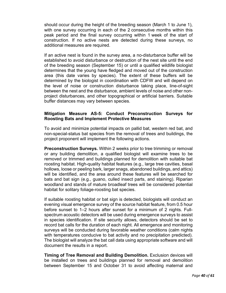should occur during the height of the breeding season (March 1 to June 1), with one survey occurring in each of the 2 consecutive months within this peak period and the final survey occurring within 1 week of the start of construction. If no active nests are detected during these surveys, no additional measures are required.

If an active nest is found in the survey area, a no-disturbance buffer will be established to avoid disturbance or destruction of the nest site until the end of the breeding season (September 15) or until a qualified wildlife biologist determines that the young have fledged and moved out of the construction area (this date varies by species). The extent of these buffers will be determined by the biologist in coordination with CDFW and will depend on the level of noise or construction disturbance taking place, line-of-sight between the nest and the disturbance, ambient levels of noise and other nonproject disturbances, and other topographical or artificial barriers. Suitable buffer distances may vary between species.

#### **Mitigation Measure AS-5: Conduct Preconstruction Surveys for Roosting Bats and Implement Protective Measures**

To avoid and minimize potential impacts on pallid bat, western red bat, and non-special-status bat species from the removal of trees and buildings, the project proponent will implement the following actions.

**Preconstruction Surveys.** Within 2 weeks prior to tree trimming or removal or any building demolition, a qualified biologist will examine trees to be removed or trimmed and buildings planned for demolition with suitable bat roosting habitat. High-quality habitat features (e.g., large tree cavities, basal hollows, loose or peeling bark, larger snags, abandoned buildings, and attics) will be identified, and the area around these features will be searched for bats and bat sign (e.g., guano, culled insect parts, and staining). Riparian woodland and stands of mature broadleaf trees will be considered potential habitat for solitary foliage-roosting bat species.

If suitable roosting habitat or bat sign is detected, biologists will conduct an evening visual emergence survey of the source habitat feature, from 0.5 hour before sunset to 1–2 hours after sunset for a minimum of 2 nights. Fullspectrum acoustic detectors will be used during emergence surveys to assist in species identification. If site security allows, detectors should be set to record bat calls for the duration of each night. All emergence and monitoring surveys will be conducted during favorable weather conditions (calm nights with temperatures conducive to bat activity and no precipitation predicted). The biologist will analyze the bat call data using appropriate software and will document the results in a report.

**Timing of Tree Removal and Building Demolition.** Exclusion devices will be installed on trees and buildings planned for removal and demolition between September 15 and October 31 to avoid affecting maternal and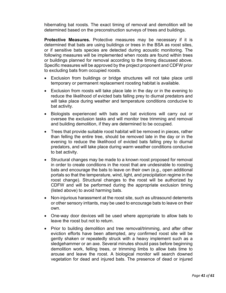hibernating bat roosts. The exact timing of removal and demolition will be determined based on the preconstruction surveys of trees and buildings.

**Protective Measures.** Protective measures may be necessary if it is determined that bats are using buildings or trees in the BSA as roost sites, or if sensitive bats species are detected during acoustic monitoring. The following measures will be implemented when roosts are found within trees or buildings planned for removal according to the timing discussed above. Specific measures will be approved by the project proponent and CDFW prior to excluding bats from occupied roosts.

- Exclusion from buildings or bridge structures will not take place until temporary or permanent replacement roosting habitat is available.
- Exclusion from roosts will take place late in the day or in the evening to reduce the likelihood of evicted bats falling prey to diurnal predators and will take place during weather and temperature conditions conducive to bat activity.
- Biologists experienced with bats and bat evictions will carry out or oversee the exclusion tasks and will monitor tree trimming and removal and building demolition, if they are determined to be occupied.
- Trees that provide suitable roost habitat will be removed in pieces, rather than felling the entire tree, should be removed late in the day or in the evening to reduce the likelihood of evicted bats falling prey to diurnal predators, and will take place during warm weather conditions conducive to bat activity.
- Structural changes may be made to a known roost proposed for removal in order to create conditions in the roost that are undesirable to roosting bats and encourage the bats to leave on their own (e.g., open additional portals so that the temperature, wind, light, and precipitation regime in the roost change). Structural changes to the roost will be authorized by CDFW and will be performed during the appropriate exclusion timing (listed above) to avoid harming bats.
- Non-injurious harassment at the roost site, such as ultrasound deterrents or other sensory irritants, may be used to encourage bats to leave on their own.
- One-way door devices will be used where appropriate to allow bats to leave the roost but not to return.
- Prior to building demolition and tree removal/trimming, and after other eviction efforts have been attempted, any confirmed roost site will be gently shaken or repeatedly struck with a heavy implement such as a sledgehammer or an axe. Several minutes should pass before beginning demolition work, felling trees, or trimming limbs to allow bats time to arouse and leave the roost. A biological monitor will search downed vegetation for dead and injured bats. The presence of dead or injured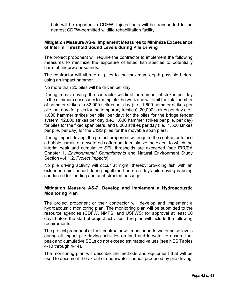bats will be reported to CDFW. Injured bats will be transported to the nearest CDFW-permitted wildlife rehabilitation facility.

#### **Mitigation Measure AS-6: Implement Measures to Minimize Exceedance of Interim Threshold Sound Levels during Pile Driving**

The project proponent will require the contractor to implement the following measures to minimize the exposure of listed fish species to potentially harmful underwater sounds.

The contractor will vibrate all piles to the maximum depth possible before using an impact hammer.

No more than 20 piles will be driven per day.

During impact driving, the contractor will limit the number of strikes per day to the minimum necessary to complete the work and will limit the total number of hammer strikes to 32,000 strikes per day (i.e., 1,600 hammer strikes per pile, per day) for piles for the temporary trestles), 20,000 strikes per day (i.e., 1,000 hammer strikes per pile, per day) for the piles for the bridge fender system, 12,800 strikes per day (i.e., 1,600 hammer strikes per pile, per day) for piles for the fixed span piers, and 6,000 strikes per day (i.e., 1.500 strikes per pile, per day) for the CISS piles for the movable span piers.

During impact driving, the project proponent will require the contractor to use a bubble curtain or dewatered cofferdam to minimize the extent to which the interim peak and cumulative SEL thresholds are exceeded (see EIR/EA Chapter 1, *Environmental Commitments* and Natural Environment Study Section 4.4.1.2, *Project Impacts*).

No pile driving activity will occur at night, thereby providing fish with an extended quiet period during nighttime hours on days pile driving is being conducted for feeding and unobstructed passage.

#### **Mitigation Measure AS-7: Develop and Implement a Hydroacoustic Monitoring Plan**

The project proponent or their contractor will develop and implement a hydroacoustic monitoring plan. The monitoring plan will be submitted to the resource agencies (CDFW, NMFS, and USFWS) for approval at least 60 days before the start of project activities. The plan will include the following requirements.

The project proponent or their contractor will monitor underwater noise levels during all impact pile driving activities on land and in water to ensure that peak and cumulative SELs do not exceed estimated values (see NES Tables 4-10 through 4-14).

The monitoring plan will describe the methods and equipment that will be used to document the extent of underwater sounds produced by pile driving,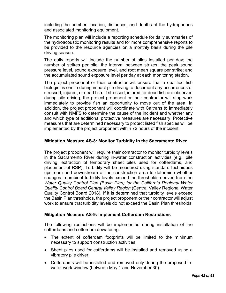including the number, location, distances, and depths of the hydrophones and associated monitoring equipment.

The monitoring plan will include a reporting schedule for daily summaries of the hydroacoustic monitoring results and for more comprehensive reports to be provided to the resource agencies on a monthly basis during the pile driving season.

The daily reports will include the number of piles installed per day; the number of strikes per pile; the interval between strikes; the peak sound pressure level, sound exposure level, and root mean square per strike; and the accumulated sound exposure level per day at each monitoring station.

The project proponent or their contractor will ensure that a qualified fish biologist is onsite during impact pile driving to document any occurrences of stressed, injured, or dead fish. If stressed, injured, or dead fish are observed during pile driving, the project proponent or their contractor will stop work immediately to provide fish an opportunity to move out of the area. In addition, the project proponent will coordinate with Caltrans to immediately consult with NMFS to determine the cause of the incident and whether any and which type of additional protective measures are necessary. Protective measures that are determined necessary to protect listed fish species will be implemented by the project proponent within 72 hours of the incident.

#### **Mitigation Measure AS-8: Monitor Turbidity in the Sacramento River**

The project proponent will require their contractor to monitor turbidity levels in the Sacramento River during in-water construction activities (e.g., pile driving, extraction of temporary sheet piles used for cofferdams, and placement of RSP). Turbidity will be measured using standard techniques upstream and downstream of the construction area to determine whether changes in ambient turbidity levels exceed the thresholds derived from the *Water Quality Control Plan (Basin Plan) for the California Regional Water Quality Control Board Central Valley Region* (Central Valley Regional Water Quality Control Board 2018). If it is determined that turbidity levels exceed the Basin Plan thresholds, the project proponent or their contractor will adjust work to ensure that turbidity levels do not exceed the Basin Plan thresholds.

#### **Mitigation Measure AS-9: Implement Cofferdam Restrictions**

The following restrictions will be implemented during installation of the cofferdams and cofferdam dewatering.

- The extent of cofferdam footprints will be limited to the minimum necessary to support construction activities.
- Sheet piles used for cofferdams will be installed and removed using a vibratory pile driver.
- Cofferdams will be installed and removed only during the proposed inwater work window (between May 1 and November 30).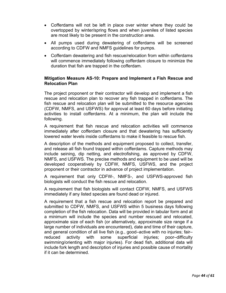- Cofferdams will not be left in place over winter where they could be overtopped by winter/spring flows and when juveniles of listed species are most likely to be present in the construction area.
- All pumps used during dewatering of cofferdams will be screened according to CDFW and NMFS guidelines for pumps.
- Cofferdam dewatering and fish rescue/relocation from within cofferdams will commence immediately following cofferdam closure to minimize the duration that fish are trapped in the cofferdam.

#### **Mitigation Measure AS-10: Prepare and Implement a Fish Rescue and Relocation Plan**

The project proponent or their contractor will develop and implement a fish rescue and relocation plan to recover any fish trapped in cofferdams. The fish rescue and relocation plan will be submitted to the resource agencies (CDFW, NMFS, and USFWS) for approval at least 60 days before initiating activities to install cofferdams. At a minimum, the plan will include the following.

A requirement that fish rescue and relocation activities will commence immediately after cofferdam closure and that dewatering has sufficiently lowered water levels inside cofferdams to make it feasible to rescue fish.

A description of the methods and equipment proposed to collect, transfer, and release all fish found trapped within cofferdams. Capture methods may include seining, dip netting, and electrofishing, as approved by CDFW, NMFS, and USFWS. The precise methods and equipment to be used will be developed cooperatively by CDFW, NMFS, USFWS, and the project proponent or their contractor in advance of project implementation.

A requirement that only CDFW-, NMFS-, and USFWS-approved fish biologists will conduct the fish rescue and relocation.

A requirement that fish biologists will contact CDFW, NMFS, and USFWS immediately if any listed species are found dead or injured.

A requirement that a fish rescue and relocation report be prepared and submitted to CDFW, NMFS, and USFWS within 5 business days following completion of the fish relocation. Data will be provided in tabular form and at a minimum will include the species and number rescued and relocated, approximate size of each fish (or alternatively, approximate size range if a large number of individuals are encountered), date and time of their capture, and general condition of all live fish (e.g., good–active with no injuries; fair– reduced activity with some superficial injuries; poor–difficulty swimming/orienting with major injuries). For dead fish, additional data will include fork length and description of injuries and possible cause of mortality if it can be determined.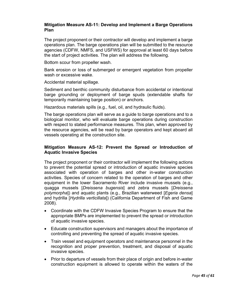#### **Mitigation Measure AS-11: Develop and Implement a Barge Operations Plan**

The project proponent or their contractor will develop and implement a barge operations plan. The barge operations plan will be submitted to the resource agencies (CDFW, NMFS, and USFWS) for approval at least 60 days before the start of project activities. The plan will address the following.

Bottom scour from propeller wash.

Bank erosion or loss of submerged or emergent vegetation from propeller wash or excessive wake.

Accidental material spillage.

Sediment and benthic community disturbance from accidental or intentional barge grounding or deployment of barge spuds (extendable shafts for temporarily maintaining barge position) or anchors.

Hazardous materials spills (e.g., fuel, oil, and hydraulic fluids).

The barge operations plan will serve as a guide to barge operations and to a biological monitor, who will evaluate barge operations during construction with respect to stated performance measures. This plan, when approved by the resource agencies, will be read by barge operators and kept aboard all vessels operating at the construction site.

#### **Mitigation Measure AS-12: Prevent the Spread or Introduction of Aquatic Invasive Species**

The project proponent or their contractor will implement the following actions to prevent the potential spread or introduction of aquatic invasive species associated with operation of barges and other in-water construction activities. Species of concern related to the operation of barges and other equipment in the lower Sacramento River include invasive mussels (e.g., quagga mussels [*Dreissena bugensis*] and zebra mussels [*Dreissena polymorpha*]) and aquatic plants (e.g., Brazilian waterweed [*Egeria densa*] and hydrilla [*Hydrilla verticillata*]) (California Department of Fish and Game 2008).

- Coordinate with the CDFW Invasive Species Program to ensure that the appropriate BMPs are implemented to prevent the spread or introduction of aquatic invasive species.
- Educate construction supervisors and managers about the importance of controlling and preventing the spread of aquatic invasive species.
- Train vessel and equipment operators and maintenance personnel in the recognition and proper prevention, treatment, and disposal of aquatic invasive species.
- Prior to departure of vessels from their place of origin and before in-water construction equipment is allowed to operate within the waters of the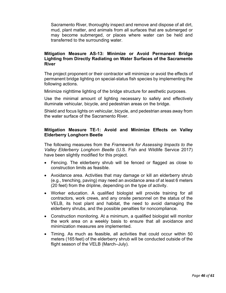Sacramento River, thoroughly inspect and remove and dispose of all dirt, mud, plant matter, and animals from all surfaces that are submerged or may become submerged, or places where water can be held and transferred to the surrounding water.

#### **Mitigation Measure AS-13: Minimize or Avoid Permanent Bridge Lighting from Directly Radiating on Water Surfaces of the Sacramento River**

The project proponent or their contractor will minimize or avoid the effects of permanent bridge lighting on special-status fish species by implementing the following actions.

Minimize nighttime lighting of the bridge structure for aesthetic purposes.

Use the minimal amount of lighting necessary to safely and effectively illuminate vehicular, bicycle, and pedestrian areas on the bridge.

Shield and focus lights on vehicular, bicycle, and pedestrian areas away from the water surface of the Sacramento River.

#### **Mitigation Measure TE-1: Avoid and Minimize Effects on Valley Elderberry Longhorn Beetle**

The following measures from the *Framework for Assessing Impacts to the Valley Elderberry Longhorn Beetle* (U.S. Fish and Wildlife Service 2017) have been slightly modified for this project.

- Fencing. The elderberry shrub will be fenced or flagged as close to construction limits as feasible.
- Avoidance area. Activities that may damage or kill an elderberry shrub (e.g., trenching, paving) may need an avoidance area of at least 6 meters (20 feet) from the dripline, depending on the type of activity.
- Worker education. A qualified biologist will provide training for all contractors, work crews, and any onsite personnel on the status of the VELB, its host plant and habitat, the need to avoid damaging the elderberry shrubs, and the possible penalties for noncompliance.
- Construction monitoring. At a minimum, a qualified biologist will monitor the work area on a weekly basis to ensure that all avoidance and minimization measures are implemented.
- Timing. As much as feasible, all activities that could occur within 50 meters (165 feet) of the elderberry shrub will be conducted outside of the flight season of the VELB (March–July).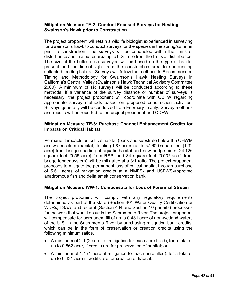#### **Mitigation Measure TE-2: Conduct Focused Surveys for Nesting Swainson's Hawk prior to Construction**

The project proponent will retain a wildlife biologist experienced in surveying for Swainson's hawk to conduct surveys for the species in the spring/summer prior to construction. The surveys will be conducted within the limits of disturbance and in a buffer area up to 0.25 mile from the limits of disturbance. The size of the buffer area surveyed will be based on the type of habitat present and the line-of-sight from the construction area to surrounding suitable breeding habitat. Surveys will follow the methods in Recommended Timing and Methodology for Swainson's Hawk Nesting Surveys in California's Central Valley (Swainson's Hawk Technical Advisory Committee 2000). A minimum of six surveys will be conducted according to these methods. If a variance of the survey distance or number of surveys is necessary, the project proponent will coordinate with CDFW regarding appropriate survey methods based on proposed construction activities. Surveys generally will be conducted from February to July. Survey methods and results will be reported to the project proponent and CDFW.

#### **Mitigation Measure TE-3: Purchase Channel Enhancement Credits for Impacts on Critical Habitat**

Permanent impacts on critical habitat (bank and substrate below the OHWM and water column habitat), totaling 1.87 acres (up to 57,600 square feet [1.32 acre] from bridge shading of aquatic habitat and new bridge piers; 24,126 square feet [0.55 acre] from RSP; and 84 square feet [0.002 acre] from bridge fender system) will be mitigated at a 3:1 ratio. The project proponent proposes to mitigate the permanent loss of critical habitat through purchase of 5.61 acres of mitigation credits at a NMFS- and USFWS-approved anadromous fish and delta smelt conservation bank.

#### **Mitigation Measure WW-1: Compensate for Loss of Perennial Stream**

The project proponent will comply with any regulatory requirements determined as part of the state (Section 401 Water Quality Certification or WDRs, LSAA) and federal (Section 404 and Section 10 permits) processes for the work that would occur in the Sacramento River. The project proponent will compensate for permanent fill of up to 0.431 acre of non-wetland waters of the U.S. in the Sacramento River by purchasing mitigation bank credits, which can be in the form of preservation or creation credits using the following minimum ratios.

- A minimum of 2:1 (2 acres of mitigation for each acre filled), for a total of up to 0.862 acre, if credits are for preservation of habitat; or,
- A minimum of 1:1 (1 acre of mitigation for each acre filled), for a total of up to 0.431 acre if credits are for creation of habitat.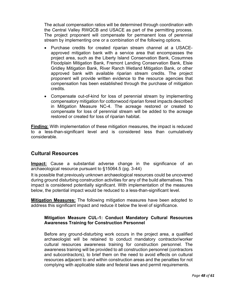The actual compensation ratios will be determined through coordination with the Central Valley RWQCB and USACE as part of the permitting process. The project proponent will compensate for permanent loss of perennial stream by implementing one or a combination of the following options.

- Purchase credits for created riparian stream channel at a USACEapproved mitigation bank with a service area that encompasses the project area, such as the Liberty Island Conservation Bank, Cosumnes Floodplain Mitigation Bank, Fremont Landing Conservation Bank, Elsie Gridley Mitigation Bank, River Ranch Wetland Mitigation Bank, or other approved bank with available riparian stream credits. The project proponent will provide written evidence to the resource agencies that compensation has been established through the purchase of mitigation credits.
- Compensate out-of-kind for loss of perennial stream by implementing compensatory mitigation for cottonwood riparian forest impacts described in Mitigation Measure NC-4. The acreage restored or created to compensate for loss of perennial stream will be added to the acreage restored or created for loss of riparian habitat.

**Finding:** With implementation of these mitigation measures, the impact is reduced to a less-than-significant level and is considered less than cumulatively considerable.

# **Cultural Resources**

**Impact:** Cause a substantial adverse change in the significance of an archaeological resource pursuant to §15064.5 (pg. 3-44)

It is possible that previously unknown archaeological resources could be uncovered during ground disturbing construction activities for any of the build alternatives. This impact is considered potentially significant. With implementation of the measures below, the potential impact would be reduced to a less-than-significant level.

**Mitigation Measures:** The following mitigation measures have been adopted to address this significant impact and reduce it below the level of significance.

# **Mitigation Measure CUL-1: Conduct Mandatory Cultural Resources Awareness Training for Construction Personnel**

Before any ground-disturbing work occurs in the project area, a qualified archaeologist will be retained to conduct mandatory contractor/worker cultural resources awareness training for construction personnel. The awareness training will be provided to all construction personnel (contractors and subcontractors), to brief them on the need to avoid effects on cultural resources adjacent to and within construction areas and the penalties for not complying with applicable state and federal laws and permit requirements.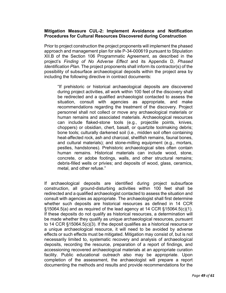#### **Mitigation Measure CUL-2: Implement Avoidance and Notification Procedures for Cultural Resources Discovered during Construction**

Prior to project construction the project proponents will implement the phased approach and management plan for site P-34-000619 pursuant to Stipulation XII.B of the Section 106 Programmatic Agreement, as described in the project's *Finding of No Adverse Effect* and its Appendix D, *Phased Identification Plan*. The project proponents shall inform its contractor(s) of the possibility of subsurface archaeological deposits within the project area by including the following directive in contract documents:

"If prehistoric or historical archaeological deposits are discovered during project activities, all work within 100 feet of the discovery shall be redirected and a qualified archaeologist contacted to assess the situation, consult with agencies as appropriate, and make recommendations regarding the treatment of the discovery. Project personnel shall not collect or move any archaeological materials or human remains and associated materials. Archaeological resources can include flaked-stone tools (e.g., projectile points, knives, choppers) or obsidian, chert, basalt, or quartzite toolmaking debris; bone tools; culturally darkened soil (i.e., midden soil often containing heat-affected rock, ash and charcoal, shellfish remains, faunal bones, and cultural materials); and stone-milling equipment (e.g., mortars, pestles, handstones). Prehistoric archaeological sites often contain human remains. Historical materials can include wood, stone, concrete, or adobe footings, walls, and other structural remains; debris-filled wells or privies; and deposits of wood, glass, ceramics, metal, and other refuse."

If archaeological deposits are identified during project subsurface construction, all ground-disturbing activities within 100 feet shall be redirected and a qualified archaeologist contacted to assess the situation and consult with agencies as appropriate. The archaeologist shall first determine whether such deposits are historical resources as defined in 14 CCR  $§15064.5(a)$  and as required of the lead agency at 14 CCR  $§15064.5(c)(1)$ . If these deposits do not qualify as historical resources, a determination will be made whether they qualify as unique archaeological resources, pursuant to 14 CCR §15064.5(c)(3). If the deposit qualifies as a historical resource or a unique archaeological resource, it will need to be avoided by adverse effects or such effects must be mitigated. Mitigation may consist of, but is not necessarily limited to, systematic recovery and analysis of archaeological deposits, recording the resource, preparation of a report of findings, and accessioning recovered archaeological materials at an appropriate curation facility. Public educational outreach also may be appropriate. Upon completion of the assessment, the archaeologist will prepare a report documenting the methods and results and provide recommendations for the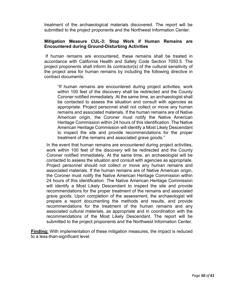treatment of the archaeological materials discovered. The report will be submitted to the project proponents and the Northwest Information Center.

#### **Mitigation Measure CUL-3: Stop Work if Human Remains are Encountered during Ground-Disturbing Activities**

If human remains are encountered, these remains shall be treated in accordance with California Health and Safety Code Section 7050.5. The project proponents shall inform its contractor(s) of the cultural sensitivity of the project area for human remains by including the following directive in contract documents:

"If human remains are encountered during project activities, work within 100 feet of the discovery shall be redirected and the County Coroner notified immediately. At the same time, an archaeologist shall be contacted to assess the situation and consult with agencies as appropriate. Project personnel shall not collect or move any human remains and associated materials. If the human remains are of Native American origin, the Coroner must notify the Native American Heritage Commission within 24 hours of this identification. The Native American Heritage Commission will identify a Most Likely Descendant to inspect the site and provide recommendations for the proper treatment of the remains and associated grave goods."

In the event that human remains are encountered during project activities, work within 100 feet of the discovery will be redirected and the County Coroner notified immediately. At the same time, an archaeologist will be contacted to assess the situation and consult with agencies as appropriate. Project personnel should not collect or move any human remains and associated materials. If the human remains are of Native American origin, the Coroner must notify the Native American Heritage Commission within 24 hours of this identification. The Native American Heritage Commission will identify a Most Likely Descendant to inspect the site and provide recommendations for the proper treatment of the remains and associated grave goods. Upon completion of the assessment, the archaeologist will prepare a report documenting the methods and results, and provide recommendations for the treatment of the human remains and any associated cultural materials, as appropriate and in coordination with the recommendations of the Most Likely Descendant. The report will be submitted to the project proponents and the Northwest Information Center.

**Finding:** With implementation of these mitigation measures, the impact is reduced to a less-than-significant level.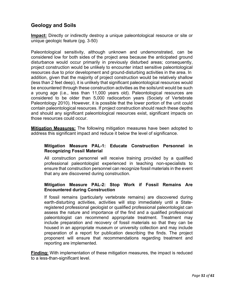# **Geology and Soils**

**Impact:** Directly or indirectly destroy a unique paleontological resource or site or unique geologic feature (pg. 3-50)

Paleontological sensitivity, although unknown and undemonstrated, can be considered low for both sides of the project area because the anticipated ground disturbance would occur primarily in previously disturbed areas; consequently, project construction would be unlikely to encounter intact sensitive paleontological resources due to prior development and ground-disturbing activities in the area. In addition, given that the majority of project construction would be relatively shallow (less than 2 feet deep), it is unlikely that significant paleontological resources would be encountered through these construction activities as the soils/unit would be such a young age (i.e., less than 11,000 years old). Paleontological resources are considered to be older than 5,000 radiocarbon years (Society of Vertebrate Paleontology 2010). However, it is possible that the lower portion of the unit could contain paleontological resources. If project construction should reach these depths and should any significant paleontological resources exist, significant impacts on those resources could occur.

**Mitigation Measures:** The following mitigation measures have been adopted to address this significant impact and reduce it below the level of significance.

#### **Mitigation Measure PAL-1: Educate Construction Personnel in Recognizing Fossil Material**

All construction personnel will receive training provided by a qualified professional paleontologist experienced in teaching non-specialists to ensure that construction personnel can recognize fossil materials in the event that any are discovered during construction.

# **Mitigation Measure PAL-2: Stop Work if Fossil Remains Are Encountered during Construction**

If fossil remains (particularly vertebrate remains) are discovered during earth-disturbing activities, activities will stop immediately until a Stateregistered professional geologist or qualified professional paleontologist can assess the nature and importance of the find and a qualified professional paleontologist can recommend appropriate treatment. Treatment may include preparation and recovery of fossil materials so that they can be housed in an appropriate museum or university collection and may include preparation of a report for publication describing the finds. The project proponent will ensure that recommendations regarding treatment and reporting are implemented.

**Finding:** With implementation of these mitigation measures, the impact is reduced to a less-than-significant level.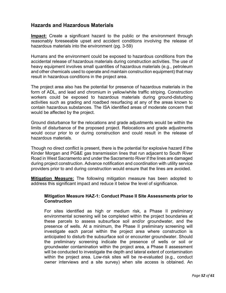# **Hazards and Hazardous Materials**

**Impact:** Create a significant hazard to the public or the environment through reasonably foreseeable upset and accident conditions involving the release of hazardous materials into the environment (pg. 3-59)

Humans and the environment could be exposed to hazardous conditions from the accidental release of hazardous materials during construction activities. The use of heavy equipment involves small quantities of hazardous materials (e.g., petroleum and other chemicals used to operate and maintain construction equipment) that may result in hazardous conditions in the project area.

The project area also has the potential for presence of hazardous materials in the form of ADL, and lead and chromium in yellow/white traffic striping. Construction workers could be exposed to hazardous materials during ground-disturbing activities such as grading and roadbed resurfacing at any of the areas known to contain hazardous substances. The ISA identified areas of moderate concern that would be affected by the project.

Ground disturbance for the relocations and grade adjustments would be within the limits of disturbance of the proposed project. Relocations and grade adjustments would occur prior to or during construction and could result in the release of hazardous materials.

Though no direct conflict is present, there is the potential for explosive hazard if the Kinder Morgan and PG&E gas transmission lines that run adjacent to South River Road in West Sacramento and under the Sacramento River if the lines are damaged during project construction. Advance notification and coordination with utility service providers prior to and during construction would ensure that the lines are avoided.

**Mitigation Measure:** The following mitigation measure has been adopted to address this significant impact and reduce it below the level of significance.

#### **Mitigation Measure HAZ-1: Conduct Phase II Site Assessments prior to Construction**

For sites identified as high or medium risk, a Phase II preliminary environmental screening will be completed within the project boundaries at these parcels to assess subsurface soil and/or groundwater, and the presence of wells. At a minimum, the Phase II preliminary screening will investigate each parcel within the project area where construction is anticipated to disturb the subsurface soil or encounter groundwater. Should the preliminary screening indicate the presence of wells or soil or groundwater contamination within the project area, a Phase II assessment will be conducted to investigate the depth and lateral extent of contamination within the project area. Low-risk sites will be re-evaluated (e.g., conduct owner interviews and a site survey) when site access is obtained. An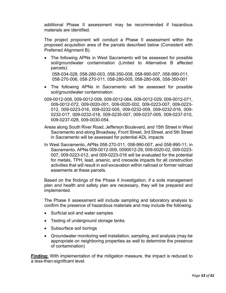additional Phase II assessment may be recommended if hazardous materials are identified.

The project proponent will conduct a Phase II assessment within the proposed acquisition area of the parcels described below (Consistent with Preferred Alignment B).

• The following APNs in West Sacramento will be assessed for possible soil/groundwater contamination (Limited to Alternative B affected parcels):

058-034-028, 058-280-003, 058-350-008, 058-990-007, 058-990-011, 058‐270‐006, 058‐270‐011, 058-280-005, 058-280-006, 058-350-001

- The following APNs in Sacramento will be assessed for possible soil/groundwater contamination:
- 009-0012-008, 009-0012-009, 009-0012-064, 009-0012-029, 009-0012-071, 009-0012-072, 009-0020-001, 009-0020-002, 009-0223-007, 009-0223- 012, 009-0223-016, 009-0232-005, 009-0232-009, 009-0232-016, 009- 0232-017, 009-0232-018, 009-0235-007, 009-0237-005, 009-0237-010, 009-0237-028, 009-0030-054.
- Areas along South River Road, Jefferson Boulevard, and 15th Street in West Sacramento and along Broadway, Front Street, 3rd Street, and 5th Street in Sacramento will be assessed for potential ADL impacts
- In West Sacramento, APNs 058‐270‐011, 058-990-007, and 058-990-11; in Sacramento, APNs 009-0012-009, 0090012-29, 009-0020-02, 009-0223- 007, 009-0223-012, and 009-0223-016 will be evaluated for the potential for metals, TPH, lead, arsenic, and creosote impacts for all construction activities that will result in soil excavation within railroad or former railroad easements at these parcels.

Based on the findings of the Phase II investigation, if a soils management plan and health and safety plan are necessary, they will be prepared and implemented.

The Phase II assessment will include sampling and laboratory analysis to confirm the presence of hazardous materials and may include the following.

- Surficial soil and water samples
- Testing of underground storage tanks
- Subsurface soil borings
- Groundwater monitoring well installation, sampling, and analysis (may be appropriate on neighboring properties as well to determine the presence of contamination)

**Finding:** With implementation of the mitigation measure, the impact is reduced to a less-than-significant level.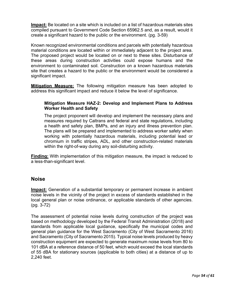**Impact:** Be located on a site which is included on a list of hazardous materials sites compiled pursuant to Government Code Section 65962.5 and, as a result, would it create a significant hazard to the public or the environment. (pg. 3-59)

Known recognized environmental conditions and parcels with potentially hazardous material conditions are located within or immediately adjacent to the project area. The proposed project would be located on or next to these sites. Disturbance of these areas during construction activities could expose humans and the environment to contaminated soil. Construction on a known hazardous materials site that creates a hazard to the public or the environment would be considered a significant impact.

**Mitigation Measure:** The following mitigation measure has been adopted to address this significant impact and reduce it below the level of significance.

#### **Mitigation Measure HAZ-2: Develop and Implement Plans to Address Worker Health and Safety**

The project proponent will develop and implement the necessary plans and measures required by Caltrans and federal and state regulations, including a health and safety plan, BMPs, and an injury and illness prevention plan. The plans will be prepared and implemented to address worker safety when working with potentially hazardous materials, including potential lead or chromium in traffic stripes, ADL, and other construction-related materials within the right-of-way during any soil-disturbing activity.

**Finding:** With implementation of this mitigation measure, the impact is reduced to a less-than-significant level.

# **Noise**

**Impact:** Generation of a substantial temporary or permanent increase in ambient noise levels in the vicinity of the project in excess of standards established in the local general plan or noise ordinance, or applicable standards of other agencies. (pg. 3-72)

The assessment of potential noise levels during construction of the project was based on methodology developed by the Federal Transit Administration (2018) and standards from applicable local guidance, specifically the municipal codes and general plan guidance for the West Sacramento (City of West Sacramento 2016) and Sacramento (City of Sacramento 2015). Typical noise levels produced by heavy construction equipment are expected to generate maximum noise levels from 80 to 101 dBA at a reference distance of 50 feet, which would exceed the local standards of 55 dBA for stationary sources (applicable to both cities) at a distance of up to 2,240 feet.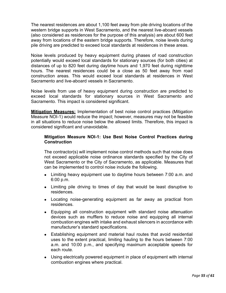The nearest residences are about 1,100 feet away from pile driving locations of the western bridge supports in West Sacramento, and the nearest live-aboard vessels (also considered as residences for the purpose of this analysis) are about 600 feet away from locations of the eastern bridge supports. Therefore, noise levels during pile driving are predicted to exceed local standards at residences in these areas.

Noise levels produced by heavy equipment during phases of road construction potentially would exceed local standards for stationary sources (for both cities) at distances of up to 820 feet during daytime hours and 1,970 feet during nighttime hours. The nearest residences could be a close as 50 feet away from road construction areas. This would exceed local standards at residences in West Sacramento and live-aboard vessels in Sacramento.

Noise levels from use of heavy equipment during construction are predicted to exceed local standards for stationary sources in West Sacramento and Sacramento. This impact is considered significant.

**Mitigation Measures:** Implementation of best noise control practices (Mitigation Measure NOI-1) would reduce the impact; however, measures may not be feasible in all situations to reduce noise below the allowed limits. Therefore, this impact is considered significant and unavoidable.

#### **Mitigation Measure NOI-1: Use Best Noise Control Practices during Construction**

The contractor(s) will implement noise control methods such that noise does not exceed applicable noise ordinance standards specified by the City of West Sacramento or the City of Sacramento, as applicable. Measures that can be implemented to control noise include the following.

- Limiting heavy equipment use to daytime hours between 7:00 a.m. and 6:00 p.m.
- Limiting pile driving to times of day that would be least disruptive to residences.
- Locating noise-generating equipment as far away as practical from residences.
- Equipping all construction equipment with standard noise attenuation devices such as mufflers to reduce noise and equipping all internal combustion engines with intake and exhaust silencers in accordance with manufacturer's standard specifications.
- Establishing equipment and material haul routes that avoid residential uses to the extent practical, limiting hauling to the hours between 7:00 a.m. and 10:00 p.m., and specifying maximum acceptable speeds for each route.
- Using electrically powered equipment in place of equipment with internal combustion engines where practical.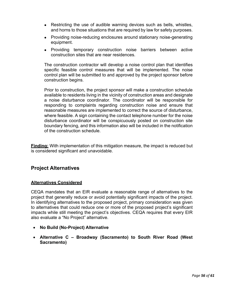- Restricting the use of audible warning devices such as bells, whistles, and horns to those situations that are required by law for safety purposes.
- Providing noise-reducing enclosures around stationary noise-generating equipment.
- Providing temporary construction noise barriers between active construction sites that are near residences.

The construction contractor will develop a noise control plan that identifies specific feasible control measures that will be implemented. The noise control plan will be submitted to and approved by the project sponsor before construction begins.

Prior to construction, the project sponsor will make a construction schedule available to residents living in the vicinity of construction areas and designate a noise disturbance coordinator. The coordinator will be responsible for responding to complaints regarding construction noise and ensure that reasonable measures are implemented to correct the source of disturbance, where feasible. A sign containing the contact telephone number for the noise disturbance coordinator will be conspicuously posted on construction site boundary fencing, and this information also will be included in the notification of the construction schedule.

**Finding:** With implementation of this mitigation measure, the impact is reduced but is considered significant and unavoidable.

# **Project Alternatives**

#### **Alternatives Considered**

CEQA mandates that an EIR evaluate a reasonable range of alternatives to the project that generally reduce or avoid potentially significant impacts of the project. In identifying alternatives to the proposed project, primary consideration was given to alternatives that could reduce one or more of the proposed project's significant impacts while still meeting the project's objectives. CEQA requires that every EIR also evaluate a "No Project" alternative.

- **No Build (No-Project) Alternative**
- **Alternative C Broadway (Sacramento) to South River Road (West Sacramento)**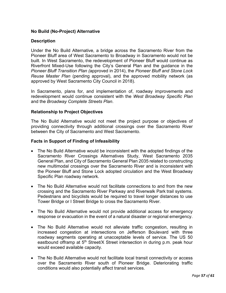# **No Build (No-Project) Alternative**

#### **Description**

Under the No Build Alternative, a bridge across the Sacramento River from the Pioneer Bluff area of West Sacramento to Broadway in Sacramento would not be built. In West Sacramento, the redevelopment of Pioneer Bluff would continue as Riverfront Mixed-Use following the City's General Plan and the guidance in the *Pioneer Bluff Transition Plan (*approved in 2014), the *Pioneer Bluff and Stone Lock Reuse Master Plan* (pending approval), and the approved mobility network (as approved by West Sacramento City Council in 2018).

In Sacramento, plans for, and implementation of, roadway improvements and redevelopment would continue consistent with the *West Broadway Specific Plan*  and the *Broadway Complete Streets Plan*.

#### **Relationship to Project Objectives**

The No Build Alternative would not meet the project purpose or objectives of providing connectivity through additional crossings over the Sacramento River between the City of Sacramento and West Sacramento.

#### **Facts in Support of Finding of Infeasibility**

- The No Build Alternative would be inconsistent with the adopted findings of the Sacramento River Crossings Alternatives Study, West Sacramento 2035 General Plan, and City of Sacramento General Plan 2035 related to constructing new multimodal crossings over the Sacramento River and is inconsistent with the Pioneer Bluff and Stone Lock adopted circulation and the West Broadway Specific Plan roadway network.
- The No Build Alternative would not facilitate connections to and from the new crossing and the Sacramento River Parkway and Riverwalk Park trail systems. Pedestrians and bicyclists would be required to travel longer distances to use Tower Bridge or I Street Bridge to cross the Sacramento River.
- The No Build Alternative would not provide additional access for emergency response or evacuation in the event of a natural disaster or regional emergency.
- The No Build Alternative would not alleviate traffic congestion, resulting in increased congestion at intersections on Jefferson Boulevard with three roadway segments operating at unacceptable levels of service. The US 50 eastbound offramp at 5<sup>th</sup> Street/X Street intersection in during p.m. peak hour would exceed available capacity.
- The No Build Alternative would not facilitate local transit connectivity or access over the Sacramento River south of Pioneer Bridge. Deteriorating traffic conditions would also potentially affect transit services.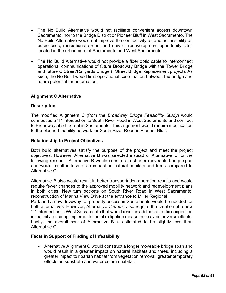- The No Build Alternative would not facilitate convenient access downtown Sacramento, nor to the Bridge District or Pioneer Bluff in West Sacramento. The No Build Alternative would not improve the connectivity to, and accessibility of, businesses, recreational areas, and new or redevelopment opportunity sites located in the urban core of Sacramento and West Sacramento.
- The No Build Alternative would not provide a fiber optic cable to interconnect operational communications of future Broadway Bridge with the Tower Bridge and future C Street/Railyards Bridge (I Street Bridge Replacement project). As such, the No Build would limit operational coordination between the bridge and future potential for automation.

#### **Alignment C Alternative**

#### **Description**

The modified Alignment C (from the *Broadway Bridge Feasibility Study*) would connect as a "T" intersection to South River Road in West Sacramento and connect to Broadway at 5th Street in Sacramento. This alignment would require modification to the planned mobility network for South River Road in Pioneer Bluff.

#### **Relationship to Project Objectives**

Both build alternatives satisfy the purpose of the project and meet the project objectives. However, Alternative B was selected instead of Alternative C for the following reasons. Alternative B would construct a shorter moveable bridge span and would result in less of an impact on natural habitats and trees compared to Alternative C.

Alternative B also would result in better transportation operation results and would require fewer changes to the approved mobility network and redevelopment plans in both cities. New turn pockets on South River Road in West Sacramento, reconstruction of Marina View Drive at the entrance to Miller Regional Park and a new driveway for property access in Sacramento would be needed for both alternatives. However, Alternative C would also require the creation of a new "T" intersection in West Sacramento that would result in additional traffic congestion in that city requiring implementation of mitigation measures to avoid adverse effects. Lastly, the overall cost of Alternative B is estimated to be slightly less than Alternative C.

#### **Facts in Support of Finding of Infeasibility**

• Alternative Alignment C would construct a longer moveable bridge span and would result in a greater impact on natural habitats and trees, including a greater impact to riparian habitat from vegetation removal, greater temporary effects on substrate and water column habitat.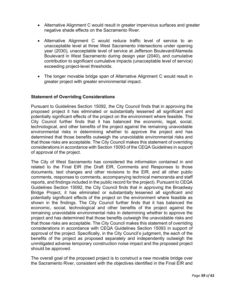- Alternative Alignment C would result in greater impervious surfaces and greater negative shade effects on the Sacramento River.
- Alternative Alignment C would reduce traffic level of service to an unacceptable level at three West Sacramento intersections under opening year (2030), unacceptable level of service at Jefferson Boulevard/Alameda Boulevard in West Sacramento during design year (2040), and cumulative contribution to significant cumulative impacts (unacceptable level of service) exceeding project-level thresholds.
- The longer movable bridge span of Alternative Alignment C would result in greater project with greater environmental impact.

#### **Statement of Overriding Considerations**

Pursuant to Guidelines Section 15092, the City Council finds that in approving the proposed project it has eliminated or substantially lessened all significant and potentially significant effects of the project on the environment where feasible. The City Council further finds that it has balanced the economic, legal, social, technological, and other benefits of the project against the remaining unavoidable environmental risks in determining whether to approve the project and has determined that those benefits outweigh the unavoidable environmental risks and that those risks are acceptable. The City Council makes this statement of overriding considerations in accordance with Section 15093 of the CEQA Guidelines in support of approval of the project.

The City of West Sacramento has considered the information contained in and related to the Final EIR (the Draft EIR, Comments and Responses to those documents, text changes and other revisions to the EIR, and all other public comments, responses to comments, accompanying technical memoranda and staff reports, and findings included in the public record for the project). Pursuant to CEQA Guidelines Section 15092, the City Council finds that in approving the Broadway Bridge Project, it has eliminated or substantially lessened all significant and potentially significant effects of the project on the environment where feasible as shown in the findings. The City Council further finds that it has balanced the economic, social, technological and other benefits of the project against the remaining unavoidable environmental risks in determining whether to approve the project and has determined that those benefits outweigh the unavoidable risks and that those risks are acceptable. The City Council makes this statement of overriding considerations in accordance with CEQA Guidelines Section 15093 in support of approval of the project. Specifically, in the City Council's judgment, the each of the benefits of the project as proposed separately and independently outweigh the unmitigated adverse temporary construction noise impact and the proposed project should be approved.

The overall goal of the proposed project is to construct a new movable bridge over the Sacramento River, consistent with the objectives identified in the Final EIR and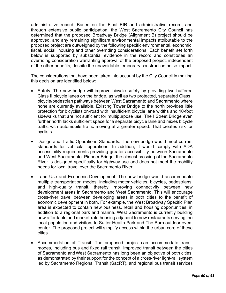administrative record. Based on the Final EIR and administrative record, and through extensive public participation, the West Sacramento City Council has determined that the proposed Broadway Bridge (Alignment B) project should be approved, and any remaining significant environmental impacts attributable to the proposed project are outweighed by the following specific environmental, economic, fiscal, social, housing and other overriding considerations. Each benefit set forth below is supported by substantial evidence in the record and constitutes an overriding consideration warranting approval of the proposed project, independent of the other benefits, despite the unavoidable temporary construction noise impact.

The considerations that have been taken into account by the City Council in making this decision are identified below:

- Safety. The new bridge will improve bicycle safety by providing two buffered Class II bicycle lanes on the bridge, as well as two protected, separated Class I bicycle/pedestrian pathways between West Sacramento and Sacramento where none are currently available. Existing Tower Bridge to the north provides little protection for bicyclists on-road with insufficient bicycle lane widths and 10-foot sidewalks that are not sufficient for multipurpose use. The I Street Bridge even further north lacks sufficient space for a separate bicycle lane and mixes bicycle traffic with automobile traffic moving at a greater speed. That creates risk for cyclists.
- Design and Traffic Operations Standards. The new bridge would meet current standards for vehicular operations. In addition, it would comply with ADA accessibility requirements providing greater accessibility between Sacramento and West Sacramento. Pioneer Bridge, the closest crossing of the Sacramento River is designed specifically for highway use and does not meet the mobility needs for local travel over the Sacramento River.
- Land Use and Economic Development. The new bridge would accommodate multiple transportation modes, including motor vehicles, bicycles, pedestrians, and high-quality transit, thereby improving connectivity between new development areas in Sacramento and West Sacramento. This will encourage cross-river travel between developing areas in both cities to the benefit of economic development in both. For example, the West Broadway Specific Plan area is expected to contain new business, retail and housing opportunities, in addition to a regional park and marina. West Sacramento is currently building new affordable and market-rate housing adjacent to new restaurants serving the local population and visitors to Sutter Health Park and The Barn outdoor event center. The proposed project will simplify access within the urban core of these cities.
- Accommodation of Transit. The proposed project can accommodate transit modes, including bus and fixed rail transit. Improved transit between the cities of Sacramento andWest Sacramento has long been an objective of both cities, as demonstrated by their support for the concept of a cross-river light-rail system led by Sacramento Regional Transit (SacRT), and regional bus transit services